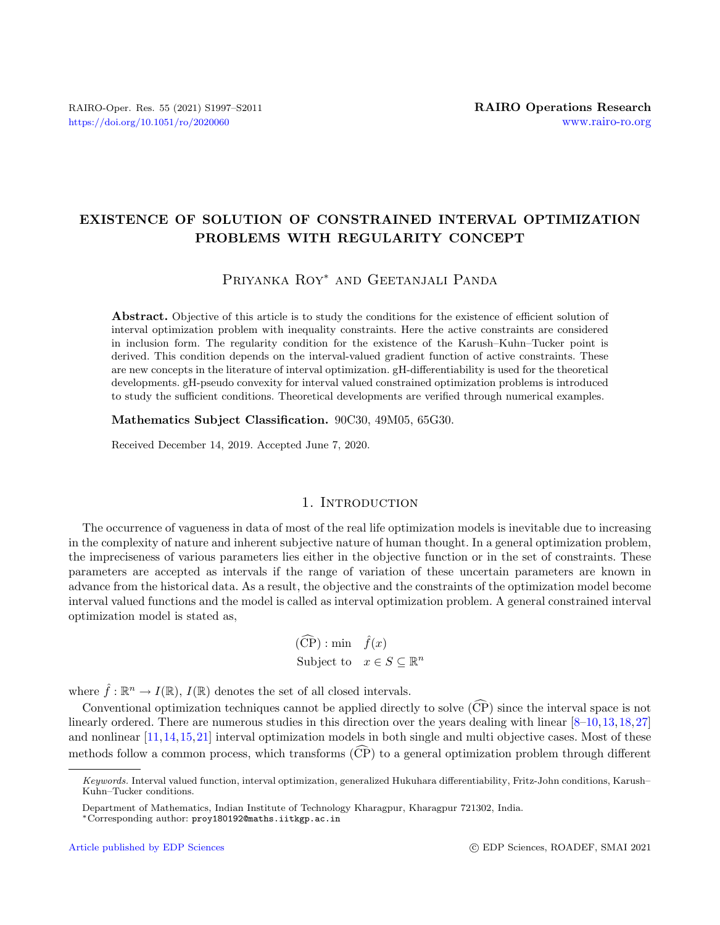# EXISTENCE OF SOLUTION OF CONSTRAINED INTERVAL OPTIMIZATION PROBLEMS WITH REGULARITY CONCEPT

# Priyanka Roy<sup>∗</sup> and Geetanjali Panda

Abstract. Objective of this article is to study the conditions for the existence of efficient solution of interval optimization problem with inequality constraints. Here the active constraints are considered in inclusion form. The regularity condition for the existence of the Karush–Kuhn–Tucker point is derived. This condition depends on the interval-valued gradient function of active constraints. These are new concepts in the literature of interval optimization. gH-differentiability is used for the theoretical developments. gH-pseudo convexity for interval valued constrained optimization problems is introduced to study the sufficient conditions. Theoretical developments are verified through numerical examples.

Mathematics Subject Classification. 90C30, 49M05, 65G30.

Received December 14, 2019. Accepted June 7, 2020.

# 1. INTRODUCTION

The occurrence of vagueness in data of most of the real life optimization models is inevitable due to increasing in the complexity of nature and inherent subjective nature of human thought. In a general optimization problem, the impreciseness of various parameters lies either in the objective function or in the set of constraints. These parameters are accepted as intervals if the range of variation of these uncertain parameters are known in advance from the historical data. As a result, the objective and the constraints of the optimization model become interval valued functions and the model is called as interval optimization problem. A general constrained interval optimization model is stated as,

> $(\widehat{\text{CP}})$ : min  $\widehat{f}(x)$ Subject to  $x \in S \subseteq \mathbb{R}^n$

where  $\hat{f} : \mathbb{R}^n \to I(\mathbb{R})$ ,  $I(\mathbb{R})$  denotes the set of all closed intervals.

Conventional optimization techniques cannot be applied directly to solve  $(\widehat{CP})$  since the interval space is not linearly ordered. There are numerous studies in this direction over the years dealing with linear [\[8–](#page-13-0)[10,](#page-13-1)[13,](#page-13-2)[18,](#page-13-3)[27\]](#page-14-0) and nonlinear [\[11,](#page-13-4)[14,](#page-13-5)[15,](#page-13-6)[21\]](#page-13-7) interval optimization models in both single and multi objective cases. Most of these methods follow a common process, which transforms  $(\widehat{CP})$  to a general optimization problem through different

Keywords. Interval valued function, interval optimization, generalized Hukuhara differentiability, Fritz-John conditions, Karush– Kuhn–Tucker conditions.

Department of Mathematics, Indian Institute of Technology Kharagpur, Kharagpur 721302, India.

<sup>∗</sup>Corresponding author: [proy180192@maths.iitkgp.ac.in](mailto:proy180192@maths.iitkgp.ac.in)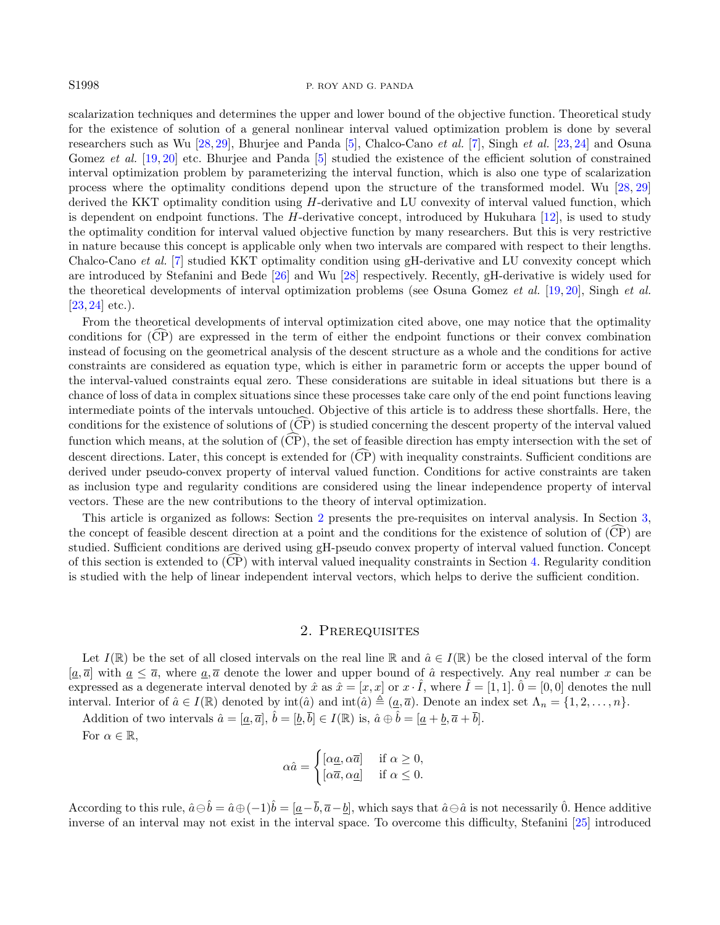## S1998 P. ROY AND G. PANDA

scalarization techniques and determines the upper and lower bound of the objective function. Theoretical study for the existence of solution of a general nonlinear interval valued optimization problem is done by several researchers such as Wu [\[28,](#page-14-1) [29\]](#page-14-2), Bhurjee and Panda [\[5\]](#page-13-8), Chalco-Cano et al. [\[7\]](#page-13-9), Singh et al. [\[23,](#page-14-3) [24\]](#page-14-4) and Osuna Gomez et al. [\[19,](#page-13-10) [20\]](#page-13-11) etc. Bhurjee and Panda [\[5\]](#page-13-8) studied the existence of the efficient solution of constrained interval optimization problem by parameterizing the interval function, which is also one type of scalarization process where the optimality conditions depend upon the structure of the transformed model. Wu [\[28,](#page-14-1) [29\]](#page-14-2) derived the KKT optimality condition using H-derivative and LU convexity of interval valued function, which is dependent on endpoint functions. The  $H$ -derivative concept, introduced by Hukuhara [\[12\]](#page-13-12), is used to study the optimality condition for interval valued objective function by many researchers. But this is very restrictive in nature because this concept is applicable only when two intervals are compared with respect to their lengths. Chalco-Cano et al. [\[7\]](#page-13-9) studied KKT optimality condition using gH-derivative and LU convexity concept which are introduced by Stefanini and Bede [\[26\]](#page-14-5) and Wu [\[28\]](#page-14-1) respectively. Recently, gH-derivative is widely used for the theoretical developments of interval optimization problems (see Osuna Gomez et al. [\[19,](#page-13-10) [20\]](#page-13-11), Singh et al.  $[23, 24]$  $[23, 24]$  $[23, 24]$  etc.).

From the theoretical developments of interval optimization cited above, one may notice that the optimality conditions for  $(CP)$  are expressed in the term of either the endpoint functions or their convex combination instead of focusing on the geometrical analysis of the descent structure as a whole and the conditions for active constraints are considered as equation type, which is either in parametric form or accepts the upper bound of the interval-valued constraints equal zero. These considerations are suitable in ideal situations but there is a chance of loss of data in complex situations since these processes take care only of the end point functions leaving intermediate points of the intervals untouched. Objective of this article is to address these shortfalls. Here, the conditions for the existence of solutions of  $\widehat{CP}$  is studied concerning the descent property of the interval valued function which means, at the solution of  $(\widehat{CP})$ , the set of feasible direction has empty intersection with the set of descent directions. Later, this concept is extended for  $(\widehat{CP})$  with inequality constraints. Sufficient conditions are derived under pseudo-convex property of interval valued function. Conditions for active constraints are taken as inclusion type and regularity conditions are considered using the linear independence property of interval vectors. These are the new contributions to the theory of interval optimization.

This article is organized as follows: Section [2](#page-1-0) presents the pre-requisites on interval analysis. In Section [3,](#page-4-0) the concept of feasible descent direction at a point and the conditions for the existence of solution of  $\overline{(CP)}$  are studied. Sufficient conditions are derived using gH-pseudo convex property of interval valued function. Concept of this section is extended to  $(CP)$  with interval valued inequality constraints in Section [4.](#page-6-0) Regularity condition is studied with the help of linear independent interval vectors, which helps to derive the sufficient condition.

#### 2. Prerequisites

<span id="page-1-0"></span>Let  $I(\mathbb{R})$  be the set of all closed intervals on the real line  $\mathbb{R}$  and  $\hat{a} \in I(\mathbb{R})$  be the closed interval of the form  $[a,\overline{a}]$  with  $\underline{a} \leq \overline{a}$ , where  $\underline{a},\overline{a}$  denote the lower and upper bound of  $\hat{a}$  respectively. Any real number x can be expressed as a degenerate interval denoted by  $\hat{x}$  as  $\hat{x} = [x, x]$  or  $x \cdot \hat{I}$ , where  $\hat{I} = [1, 1]$ .  $\hat{0} = [0, 0]$  denotes the null interval. Interior of  $\hat{a} \in I(\mathbb{R})$  denoted by  $\text{int}(\hat{a})$  and  $\text{int}(\hat{a}) \triangleq (\underline{a}, \overline{a})$ . Denote an index set  $\Lambda_n = \{1, 2, \ldots, n\}$ .

Addition of two intervals  $\hat{a} = [\underline{a}, \overline{a}], \hat{b} = [\underline{b}, \overline{b}] \in I(\mathbb{R})$  is,  $\hat{a} \oplus \hat{b} = [\underline{a} + \underline{b}, \overline{a} + \overline{b}].$ For  $\alpha \in \mathbb{R}$ ,

$$
\alpha \hat{a} = \begin{cases} [\alpha \underline{a}, \alpha \overline{a}] & \text{if } \alpha \ge 0, \\ [\alpha \overline{a}, \alpha \underline{a}] & \text{if } \alpha \le 0. \end{cases}
$$

According to this rule,  $\hat{a} \ominus \hat{b} = \hat{a} \oplus (-1)\hat{b} = [\underline{a} - \overline{b}, \overline{a} - \underline{b}]$ , which says that  $\hat{a} \ominus \hat{a}$  is not necessarily  $\hat{0}$ . Hence additive inverse of an interval may not exist in the interval space. To overcome this difficulty, Stefanini [\[25\]](#page-14-6) introduced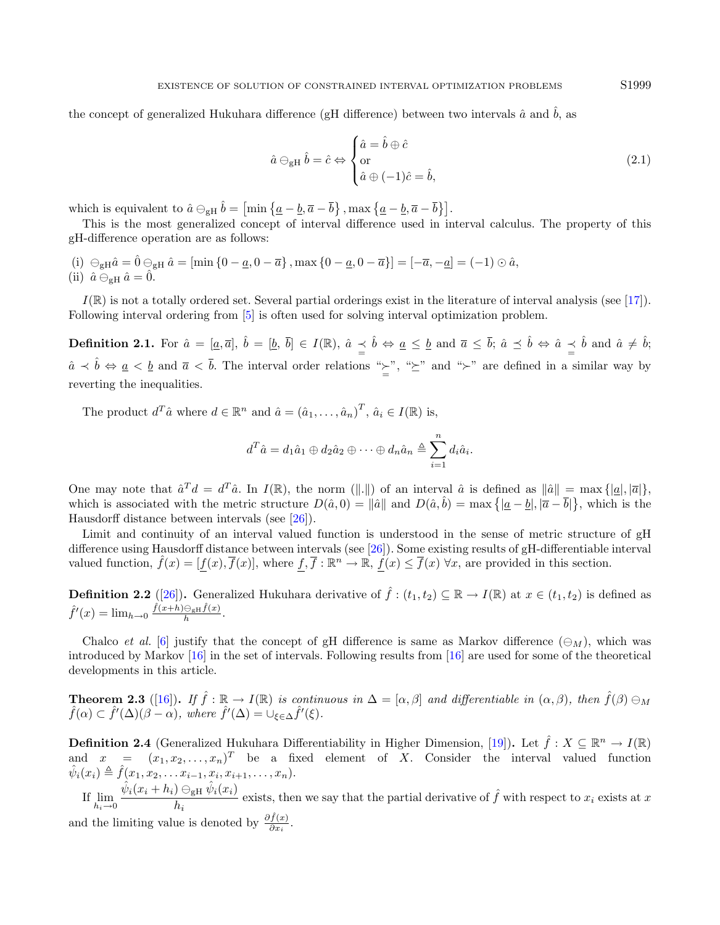the concept of generalized Hukuhara difference (gH difference) between two intervals  $\hat{a}$  and  $\hat{b}$ , as

$$
\hat{a} \ominus_{\text{gH}} \hat{b} = \hat{c} \Leftrightarrow \begin{cases} \hat{a} = \hat{b} \oplus \hat{c} \\ \text{or} \\ \hat{a} \oplus (-1)\hat{c} = \hat{b}, \end{cases} \tag{2.1}
$$

which is equivalent to  $\hat{a} \ominus_{\text{gH}} \hat{b} = \left[ \min \left\{ \underline{a} - \underline{b}, \overline{a} - \overline{b} \right\}, \max \left\{ \underline{a} - \underline{b}, \overline{a} - \overline{b} \right\} \right].$ 

This is the most generalized concept of interval difference used in interval calculus. The property of this gH-difference operation are as follows:

(i)  $\Theta_{\text{gH}}\hat{a} = \hat{0} \Theta_{\text{gH}}\hat{a} = \left[\min\left\{0-\underline{a},0-\overline{a}\right\},\max\left\{0-\underline{a},0-\overline{a}\right\}\right] = \left[-\overline{a},-\underline{a}\right] = (-1) \odot \hat{a},$ (ii)  $\hat{a} \ominus_{gH} \hat{a} = \hat{0}$ .

 $I(\mathbb{R})$  is not a totally ordered set. Several partial orderings exist in the literature of interval analysis (see [\[17\]](#page-13-13)). Following interval ordering from [\[5\]](#page-13-8) is often used for solving interval optimization problem.

**Definition 2.1.** For  $\hat{a} = [\underline{a}, \overline{a}], \ \hat{b} = [\underline{b}, \ \overline{b}] \in I(\mathbb{R}), \ \hat{a} \preceq \hat{b} \Leftrightarrow \underline{a} \leq \underline{b} \text{ and } \overline{a} \leq \overline{b}; \ \hat{a} \preceq \hat{b} \Leftrightarrow \hat{a} \preceq \hat{b} \text{ and } \hat{a} \neq \hat{b};$  $\hat{a} \prec \hat{b} \Leftrightarrow \underline{a} \prec \underline{b}$  and  $\overline{a} \prec \overline{b}$ . The interval order relations " $\geq$ ", " $\geq$ " and " $\succ$ " are defined in a similar way by reverting the inequalities.

The product  $d^T \hat{a}$  where  $d \in \mathbb{R}^n$  and  $\hat{a} = (\hat{a}_1, \dots, \hat{a}_n)^T$ ,  $\hat{a}_i \in I(\mathbb{R})$  is,

$$
d^T \hat{a} = d_1 \hat{a}_1 \oplus d_2 \hat{a}_2 \oplus \cdots \oplus d_n \hat{a}_n \triangleq \sum_{i=1}^n d_i \hat{a}_i.
$$

One may note that  $\hat{a}^T d = d^T \hat{a}$ . In  $I(\mathbb{R})$ , the norm (||,||) of an interval  $\hat{a}$  is defined as  $\|\hat{a}\| = \max\{|\underline{a}|, |\overline{a}|\}$ , which is associated with the metric structure  $D(\hat{a},0) = ||\hat{a}||$  and  $D(\hat{a},\hat{b}) = \max\{|\underline{a}-\underline{b}|, |\overline{a}-\overline{b}|\}$ , which is the Hausdorff distance between intervals (see [\[26\]](#page-14-5)).

Limit and continuity of an interval valued function is understood in the sense of metric structure of gH difference using Hausdorff distance between intervals (see [\[26\]](#page-14-5)). Some existing results of gH-differentiable interval valued function,  $\hat{f}(x) = [f(x), \overline{f}(x)]$ , where  $f, \overline{f}: \mathbb{R}^n \to \mathbb{R}, f(x) \leq \overline{f}(x) \,\forall x$ , are provided in this section.

**Definition 2.2** ([\[26\]](#page-14-5)). Generalized Hukuhara derivative of  $\hat{f}$  :  $(t_1, t_2) \subseteq \mathbb{R} \to I(\mathbb{R})$  at  $x \in (t_1, t_2)$  is defined as  $\hat{f}'(x) = \lim_{h \to 0} \frac{\hat{f}(x+h) \ominus_{\text{gH}} \hat{f}(x)}{h}.$ 

Chalco et al. [\[6\]](#page-13-14) justify that the concept of gH difference is same as Markov difference  $(\ominus_M)$ , which was introduced by Markov [\[16\]](#page-13-15) in the set of intervals. Following results from [\[16\]](#page-13-15) are used for some of the theoretical developments in this article.

<span id="page-2-1"></span>**Theorem 2.3** ([\[16\]](#page-13-15)). If  $\hat{f} : \mathbb{R} \to I(\mathbb{R})$  is continuous in  $\Delta = [\alpha, \beta]$  and differentiable in  $(\alpha, \beta)$ , then  $\hat{f}(\beta) \ominus_M$  $\hat{f}(\alpha) \subset \hat{f}'(\Delta)(\beta - \alpha)$ , where  $\hat{f}'(\Delta) = \bigcup_{\xi \in \Delta} \hat{f}'(\xi)$ .

**Definition 2.4** (Generalized Hukuhara Differentiability in Higher Dimension, [\[19\]](#page-13-10)). Let  $\hat{f} : X \subseteq \mathbb{R}^n \to I(\mathbb{R})$ and  $x = (x_1, x_2, \ldots, x_n)^T$  be a fixed element of X. Consider the interval valued function  $\hat{\psi}_i(x_i) \triangleq \hat{f}(x_1, x_2, \dots x_{i-1}, x_i, x_{i+1}, \dots, x_n).$ 

If  $\lim_{h_i \to 0}$  $\hat{\psi}_i(x_i + h_i) \ominus_{\text{gH}} \hat{\psi}_i(x_i)$  $\frac{f(x_i - x_j)}{h_i}$  exists, then we say that the partial derivative of  $\hat{f}$  with respect to  $x_i$  exists at x and the limiting value is denoted by  $\frac{\partial \hat{f}(x)}{\partial x_i}$ .

<span id="page-2-0"></span>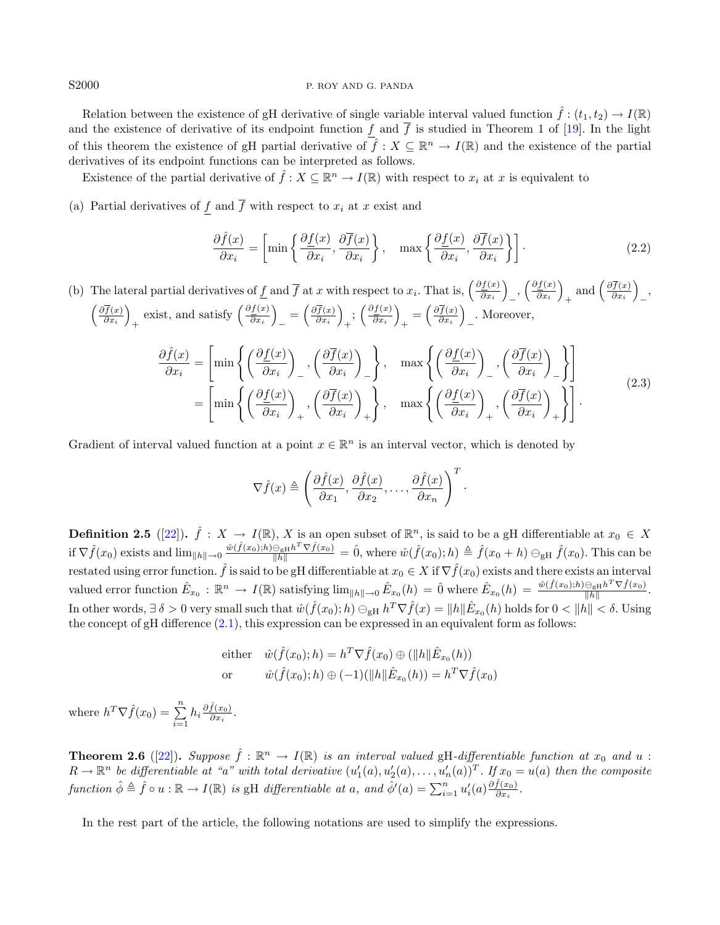## S2000 P. ROY AND G. PANDA

Relation between the existence of gH derivative of single variable interval valued function  $\hat{f}:(t_1,t_2) \to I(\mathbb{R})$ and the existence of derivative of its endpoint function f and  $\bar{f}$  is studied in Theorem 1 of [\[19\]](#page-13-10). In the light of this theorem the existence of gH partial derivative of  $\hat{f}: X \subseteq \mathbb{R}^n \to I(\mathbb{R})$  and the existence of the partial derivatives of its endpoint functions can be interpreted as follows.

Existence of the partial derivative of  $\hat{f}: X \subseteq \mathbb{R}^n \to I(\mathbb{R})$  with respect to  $x_i$  at x is equivalent to

(a) Partial derivatives of f and  $\overline{f}$  with respect to  $x_i$  at x exist and

<span id="page-3-1"></span><span id="page-3-0"></span>
$$
\frac{\partial \hat{f}(x)}{\partial x_i} = \left[ \min \left\{ \frac{\partial f(x)}{\partial x_i}, \frac{\partial \overline{f}(x)}{\partial x_i} \right\}, \quad \max \left\{ \frac{\partial f(x)}{\partial x_i}, \frac{\partial \overline{f}(x)}{\partial x_i} \right\} \right].
$$
\n(2.2)

(b) The lateral partial derivatives of f and  $\overline{f}$  at x with respect to  $x_i$ . That is,  $\left(\frac{\partial f(x)}{\partial x_i}\right)$  $\left(\frac{\partial \underline{f}(x)}{\partial x_i}\right)_-, \left(\frac{\partial \underline{f}(x)}{\partial x_i}\right)_ \left(\frac{\partial \overline{f}(x)}{\partial x}\right)$  exist and satisfy  $\left(\frac{\partial f(x)}{\partial x}\right) = \left(\frac{\partial f(x)}{\partial x}\right) \cdot \left(\frac{\partial f(x)}{\partial x}\right) = \left(\frac{\partial f(x)}{\partial x}\right)$  Moreo  $\frac{\partial f(x)}{\partial x_i}\bigg)$  $+\left(\frac{\partial \overline{f}(x)}{\partial x_i}\right)$  $\frac{\partial \overline{f}(x)}{\partial x_i}\bigg)$ − ,  $\overline{\frac{f(x)}{\partial x_i}}$ exist, and satisfy  $\left(\frac{\partial f(x)}{\partial x_i}\right)$  $\frac{\partial f(x)}{\partial x_i}\bigg)$  $=\left(\frac{\partial \overline{f}(x)}{\partial x_i}\right)$  $\frac{\partial \overline{f}(x)}{\partial x_i}$  $\frac{1}{x}$ ;  $\left(\frac{\partial f(x)}{\partial x_i}\right)$  $\frac{\partial f(x)}{\partial x_i}\bigg)$  $_{+}=\left(\frac{\partial \overline{f}(x)}{\partial x_{i}}\right)$  $\frac{\partial \overline{f}(x)}{\partial x_i}\bigg)$ − . Moreover,

$$
\frac{\partial \hat{f}(x)}{\partial x_i} = \left[ \min \left\{ \left( \frac{\partial f(x)}{\partial x_i} \right)_-, \left( \frac{\partial \overline{f}(x)}{\partial x_i} \right)_- \right\}, \quad \max \left\{ \left( \frac{\partial f(x)}{\partial x_i} \right)_-, \left( \frac{\partial \overline{f}(x)}{\partial x_i} \right)_- \right\} \right]
$$
\n
$$
= \left[ \min \left\{ \left( \frac{\partial f(x)}{\partial x_i} \right)_+, \left( \frac{\partial \overline{f}(x)}{\partial x_i} \right)_+ \right\}, \quad \max \left\{ \left( \frac{\partial f(x)}{\partial x_i} \right)_+, \left( \frac{\partial \overline{f}(x)}{\partial x_i} \right)_+ \right\} \right].
$$
\n(2.3)

Gradient of interval valued function at a point  $x \in \mathbb{R}^n$  is an interval vector, which is denoted by

$$
\nabla \hat{f}(x) \triangleq \left(\frac{\partial \hat{f}(x)}{\partial x_1}, \frac{\partial \hat{f}(x)}{\partial x_2}, \dots, \frac{\partial \hat{f}(x)}{\partial x_n}\right)^T.
$$

**Definition 2.5** ([\[22\]](#page-14-7)).  $\hat{f} : X \to I(\mathbb{R})$ , X is an open subset of  $\mathbb{R}^n$ , is said to be a gH differentiable at  $x_0 \in X$ if  $\nabla \hat{f}(x_0)$  exists and  $\lim_{\|h\| \to 0} \frac{\hat{w}(\hat{f}(x_0), h) \ominus_{\text{gH}} h^T \nabla \hat{f}(x_0)}{\|h\|} = \hat{0}$ , where  $\hat{w}(\hat{f}(x_0); h) \triangleq \hat{f}(x_0 + h) \ominus_{\text{gH}} \hat{f}(x_0)$ . This can be restated using error function.  $\hat{f}$  is said to be gH differentiable at  $x_0 \in X$  if  $\nabla \hat{f}(x_0)$  exists and there exists an interval valued error function  $\hat{E}_{x_0}: \mathbb{R}^n \to I(\mathbb{R})$  satisfying  $\lim_{\|h\| \to 0} \hat{E}_{x_0}(h) = \hat{0}$  where  $\hat{E}_{x_0}(h) = \frac{\hat{w}(\hat{f}(x_0); h) \ominus_{\text{gH}} h^T \nabla \hat{f}(x_0)}{\|h\|}$ . In other words,  $\exists \delta > 0$  very small such that  $\hat{w}(\hat{f}(x_0); h) \ominus_{\text{gH}} h^T \nabla \hat{f}(x) = ||h|| \hat{E}_{x_0}(h)$  holds for  $0 < ||h|| < \delta$ . Using the concept of  $gH$  difference  $(2.1)$ , this expression can be expressed in an equivalent form as follows:

either 
$$
\hat{w}(\hat{f}(x_0); h) = h^T \nabla \hat{f}(x_0) \oplus (\|h\| \hat{E}_{x_0}(h))
$$
  
or  $\hat{w}(\hat{f}(x_0); h) \oplus (-1)(\|h\| \hat{E}_{x_0}(h)) = h^T \nabla \hat{f}(x_0)$ 

where  $h^T \nabla \hat{f}(x_0) = \sum_{i=1}^n h_i \frac{\partial \hat{f}(x_0)}{\partial x_i}$  $\frac{J(x_0)}{\partial x_i}$ .

<span id="page-3-2"></span>**Theorem 2.6** ([\[22\]](#page-14-7)). Suppose  $\hat{f} : \mathbb{R}^n \to I(\mathbb{R})$  is an interval valued gH-differentiable function at  $x_0$  and  $u$ :  $R \to \mathbb{R}^n$  be differentiable at "a" with total derivative  $(u'_1(a), u'_2(a), \ldots, u'_n(a))^T$ . If  $x_0 = u(a)$  then the composite function  $\hat{\phi} \triangleq \hat{f} \circ u : \mathbb{R} \to I(\mathbb{R})$  is gH differentiable at a, and  $\hat{\phi}'(a) = \sum_{i=1}^{n} u'_i(a) \frac{\partial \hat{f}(x_0)}{\partial x_i}$  $\frac{J(x_0)}{\partial x_i}$ .

In the rest part of the article, the following notations are used to simplify the expressions.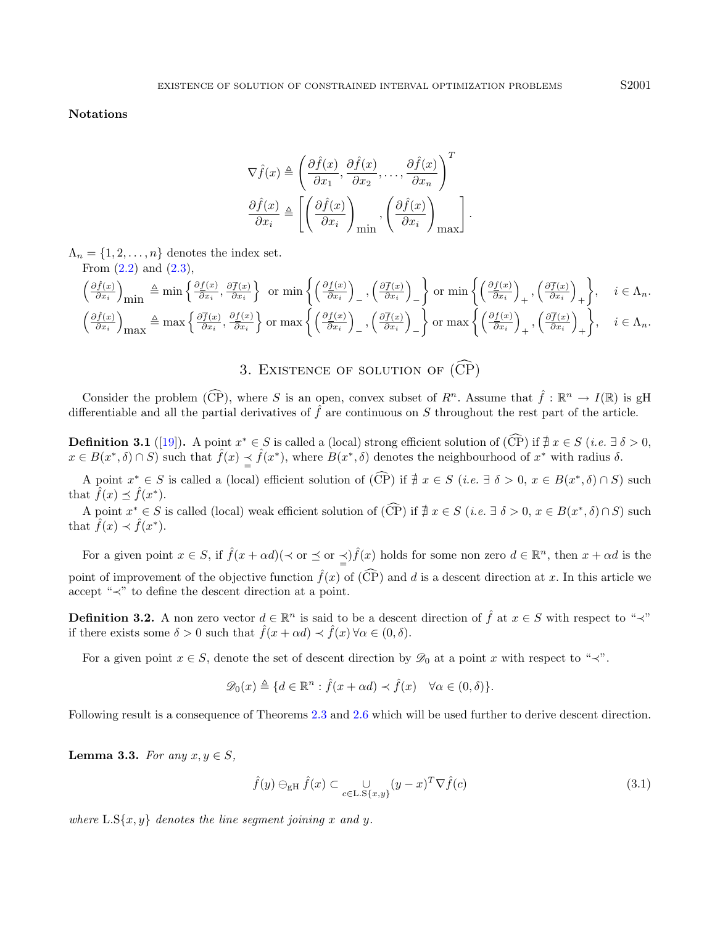Notations

$$
\nabla \hat{f}(x) \triangleq \left(\frac{\partial \hat{f}(x)}{\partial x_1}, \frac{\partial \hat{f}(x)}{\partial x_2}, \dots, \frac{\partial \hat{f}(x)}{\partial x_n}\right)^T
$$

$$
\frac{\partial \hat{f}(x)}{\partial x_i} \triangleq \left[ \left(\frac{\partial \hat{f}(x)}{\partial x_i}\right)_{\text{min}}, \left(\frac{\partial \hat{f}(x)}{\partial x_i}\right)_{\text{max}} \right].
$$

 $\Lambda_n = \{1, 2, \ldots, n\}$  denotes the index set. From  $(2.2)$  and  $(2.3)$ 

From (2.2) and (2.9),  
\n
$$
\left(\frac{\partial \hat{f}(x)}{\partial x_i}\right)_{\text{min}} \triangleq \min\left\{\frac{\partial f(x)}{\partial x_i}, \frac{\partial \overline{f}(x)}{\partial x_i}\right\} \text{ or } \min\left\{\left(\frac{\partial f(x)}{\partial x_i}\right)_-, \left(\frac{\partial \overline{f}(x)}{\partial x_i}\right)_-\right\} \text{ or } \min\left\{\left(\frac{\partial f(x)}{\partial x_i}\right)_+, \left(\frac{\partial \overline{f}(x)}{\partial x_i}\right)_+\right\}, \quad i \in \Lambda_n.
$$
\n
$$
\left(\frac{\partial \hat{f}(x)}{\partial x_i}\right)_{\text{max}} \triangleq \max\left\{\frac{\partial \overline{f}(x)}{\partial x_i}, \frac{\partial f(x)}{\partial x_i}\right\} \text{ or } \max\left\{\left(\frac{\partial f(x)}{\partial x_i}\right)_-, \left(\frac{\partial \overline{f}(x)}{\partial x_i}\right)_-\right\} \text{ or } \max\left\{\left(\frac{\partial f(x)}{\partial x_i}\right)_+, \left(\frac{\partial \overline{f}(x)}{\partial x_i}\right)_+\right\}, \quad i \in \Lambda_n.
$$

<span id="page-4-3"></span>3. EXISTENCE OF SOLUTION OF  $(\widehat{\mathrm{CP}})$ 

<span id="page-4-0"></span>Consider the problem  $(\widehat{CP})$ , where S is an open, convex subset of  $R^n$ . Assume that  $\widehat{f} : \mathbb{R}^n \to I(\mathbb{R})$  is gH differentiable and all the partial derivatives of  $\hat{f}$  are continuous on S throughout the rest part of the article.

**Definition 3.1** ([\[19\]](#page-13-10)). A point  $x^* \in S$  is called a (local) strong efficient solution of  $(\widehat{CP})$  if  $\sharp x \in S$  (*i.e.*  $\exists \delta > 0$ ,  $x \in B(x^*,\delta) \cap S$  such that  $\hat{f}(x) \leq \hat{f}(x^*)$ , where  $B(x^*,\delta)$  denotes the neighbourhood of  $x^*$  with radius  $\delta$ .

A point  $x^* \in S$  is called a (local) efficient solution of  $(\widehat{\mathbb{CP}})$  if  $\nexists x \in S$  (*i.e.*  $\exists \delta > 0, x \in B(x^*, \delta) \cap S$ ) such that  $\hat{f}(x) \preceq \hat{f}(x^*)$ .

A point  $x^* \in S$  is called (local) weak efficient solution of  $(\widehat{\mathbb{CP}})$  if  $\nexists x \in S$  (*i.e.*  $\exists \delta > 0, x \in B(x^*, \delta) \cap S$ ) such that  $\hat{f}(x) \prec \hat{f}(x^*)$ .

<span id="page-4-2"></span>For a given point  $x \in S$ , if  $\hat{f}(x + \alpha d)$   $(\prec \alpha r \preceq \alpha r \preceq)$   $\hat{f}(x)$  holds for some non zero  $d \in \mathbb{R}^n$ , then  $x + \alpha d$  is the point of improvement of the objective function  $\hat{f}(x)$  of  $(\widehat{CP})$  and d is a descent direction at x. In this article we accept "≺" to define the descent direction at a point.

**Definition 3.2.** A non zero vector  $d \in \mathbb{R}^n$  is said to be a descent direction of  $\hat{f}$  at  $x \in S$  with respect to " $\prec$ " if there exists some  $\delta > 0$  such that  $\hat{f}(x + \alpha d) \prec \hat{f}(x) \,\forall \alpha \in (0, \delta)$ .

For a given point  $x \in S$ , denote the set of descent direction by  $\mathscr{D}_0$  at a point x with respect to " $\prec$ ".

<span id="page-4-1"></span>
$$
\mathscr{D}_0(x) \triangleq \{d \in \mathbb{R}^n : \hat{f}(x + \alpha d) \prec \hat{f}(x) \quad \forall \alpha \in (0, \delta)\}.
$$

Following result is a consequence of Theorems [2.3](#page-2-1) and [2.6](#page-3-2) which will be used further to derive descent direction.

Lemma 3.3. For any  $x, y \in S$ ,

$$
\hat{f}(y) \ominus_{\mathbf{g}H} \hat{f}(x) \subset \bigcup_{c \in \mathcal{L}, \mathbf{S}\{x, y\}} (y - x)^{T} \nabla \hat{f}(c)
$$
\n(3.1)

where  $\text{L.S}\{x,y\}$  denotes the line segment joining x and y.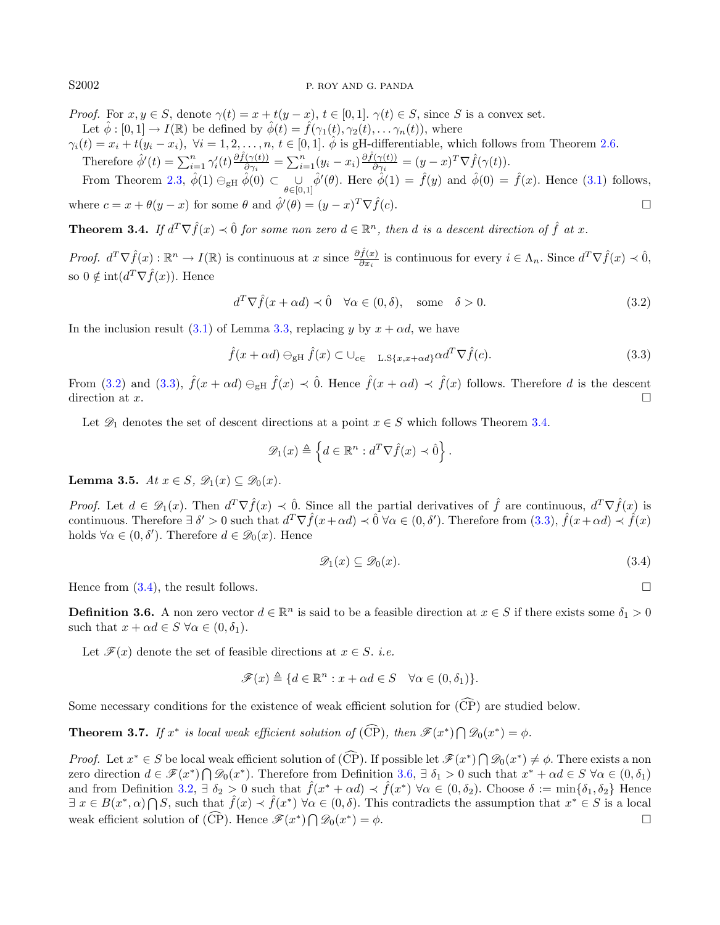## S2002 P. ROY AND G. PANDA

<span id="page-5-0"></span>*Proof.* For  $x, y \in S$ , denote  $\gamma(t) = x + t(y - x)$ ,  $t \in [0, 1]$ .  $\gamma(t) \in S$ , since S is a convex set. Let  $\hat{\phi}: [0,1] \to I(\mathbb{R})$  be defined by  $\hat{\phi}(t) = \hat{f}(\gamma_1(t), \gamma_2(t), \dots, \gamma_n(t)),$  where

 $\gamma_i(t) = x_i + t(y_i - x_i)$ ,  $\forall i = 1, 2, ..., n, t \in [0, 1]$ .  $\hat{\phi}$  is gH-differentiable, which follows from Theorem [2.6.](#page-3-2)

Therefore 
$$
\hat{\phi}'(t) = \sum_{i=1}^n \gamma'_i(t) \frac{\partial \hat{f}(\gamma(t))}{\partial \gamma_i} = \sum_{i=1}^n (y_i - x_i) \frac{\partial \hat{f}(\gamma(t))}{\partial \gamma_i} = (y - x)^T \nabla \hat{f}(\gamma(t)).
$$

From Theorem [2.3,](#page-2-1)  $\hat{\phi}(1) \ominus_{gH} \hat{\phi}(0) \subset \bigcup_{\theta \in [0,1]} \hat{\phi}'(\theta)$ . Here  $\hat{\phi}(1) = \hat{f}(y)$  and  $\hat{\phi}(0) = \hat{f}(x)$ . Hence [\(3.1\)](#page-4-1) follows, where  $c = x + \theta(y - x)$  for some  $\theta$  and  $\hat{\phi}'(\theta) = (y - x)^T \nabla \hat{f}(c)$ .

<span id="page-5-2"></span>**Theorem 3.4.** If  $d^T \nabla \hat{f}(x) \prec \hat{0}$  for some non zero  $d \in \mathbb{R}^n$ , then d is a descent direction of  $\hat{f}$  at x.

Proof.  $d^T \nabla \hat{f}(x) : \mathbb{R}^n \to I(\mathbb{R})$  is continuous at  $x$  since  $\frac{\partial \hat{f}(x)}{\partial x_i}$  is continuous for every  $i \in \Lambda_n$ . Since  $d^T \nabla \hat{f}(x) \prec \hat{0}$ , so  $0 \notin \text{int}(d^T \nabla \hat{f}(x))$ . Hence

<span id="page-5-1"></span> $d^T \nabla \hat{f}(x + \alpha d) \prec \hat{0} \quad \forall \alpha \in (0, \delta), \quad \text{some} \quad \delta > 0.$  (3.2)

In the inclusion result [\(3.1\)](#page-4-1) of Lemma [3.3,](#page-4-2) replacing y by  $x + \alpha d$ , we have

<span id="page-5-3"></span>
$$
\hat{f}(x + \alpha d) \ominus_{\mathbf{g} \mathbf{H}} \hat{f}(x) \subset \bigcup_{c \in \mathbf{L} \cdot \mathbf{S}\{x, x + \alpha d\}} \alpha d^T \nabla \hat{f}(c).
$$
\n(3.3)

From [\(3.2\)](#page-5-0) and [\(3.3\)](#page-5-1),  $\hat{f}(x + \alpha d) \ominus_{g} \hat{f}(x) \prec \hat{0}$ . Hence  $\hat{f}(x + \alpha d) \prec \hat{f}(x)$  follows. Therefore d is the descent direction at  $x$ .

Let  $\mathscr{D}_1$  denotes the set of descent directions at a point  $x \in S$  which follows Theorem [3.4.](#page-5-2)

$$
\mathscr{D}_1(x) \triangleq \left\{ d \in \mathbb{R}^n : d^T \nabla \hat{f}(x) \prec \hat{0} \right\}.
$$

<span id="page-5-5"></span>Lemma 3.5. At  $x \in S$ ,  $\mathscr{D}_1(x) \subseteq \mathscr{D}_0(x)$ .

*Proof.* Let  $d \in \mathcal{D}_1(x)$ . Then  $d^T \nabla \hat{f}(x) \prec \hat{0}$ . Since all the partial derivatives of  $\hat{f}$  are continuous,  $d^T \nabla \hat{f}(x)$  is continuous. Therefore  $\exists \delta' > 0$  such that  $d^T \nabla \hat{f}(x + \alpha d) \prec \hat{0} \ \forall \alpha \in (0, \delta')$ . Therefore from  $(3.3), \ \hat{f}(x + \alpha d) \prec \hat{f}(x)$  $(3.3), \ \hat{f}(x + \alpha d) \prec \hat{f}(x)$ holds  $\forall \alpha \in (0, \delta')$ . Therefore  $d \in \mathcal{D}_0(x)$ . Hence

$$
\mathscr{D}_1(x) \subseteq \mathscr{D}_0(x). \tag{3.4}
$$

Hence from  $(3.4)$ , the result follows.

<span id="page-5-4"></span>**Definition 3.6.** A non zero vector  $d \in \mathbb{R}^n$  is said to be a feasible direction at  $x \in S$  if there exists some  $\delta_1 > 0$ such that  $x + \alpha d \in S \ \forall \alpha \in (0, \delta_1)$ .

Let  $\mathscr{F}(x)$  denote the set of feasible directions at  $x \in S$ . *i.e.* 

$$
\mathscr{F}(x) \triangleq \{d \in \mathbb{R}^n : x + \alpha d \in S \quad \forall \alpha \in (0, \delta_1)\}.
$$

Some necessary conditions for the existence of weak efficient solution for  $(\widehat{CP})$  are studied below.

<span id="page-5-6"></span>**Theorem 3.7.** If  $x^*$  is local weak efficient solution of  $(\widehat{CP})$ , then  $\mathscr{F}(x^*) \cap \mathscr{D}_0(x^*) = \phi$ .

<span id="page-5-7"></span>*Proof.* Let  $x^* \in S$  be local weak efficient solution of  $(\widehat{CP})$ . If possible let  $\mathcal{F}(x^*) \cap \mathcal{D}_0(x^*) \neq \phi$ . There exists a non zero direction  $d \in \mathscr{F}(x^*) \cap \mathscr{D}_0(x^*)$ . Therefore from Definition [3.6,](#page-5-4)  $\exists \delta_1 > 0$  such that  $x^* + \alpha d \in S \,\forall \alpha \in (0, \delta_1)$ and from Definition [3.2,](#page-4-3)  $\exists \delta_2 > 0$  such that  $\hat{f}(x^* + \alpha d) \prec \hat{f}(x^*) \ \forall \alpha \in (0, \delta_2)$ . Choose  $\delta := \min\{\delta_1, \delta_2\}$  Hence  $\exists x \in B(x^*, \alpha) \cap S$ , such that  $\hat{f}(x) \prec \hat{f}(x^*) \ \forall \alpha \in (0, \delta)$ . This contradicts the assumption that  $x^* \in S$  is a local weak efficient solution of  $(\widehat{CP})$ . Hence  $\mathscr{F}(x^*) \bigcap \mathscr{D}_0(x^*)$  $) = \phi.$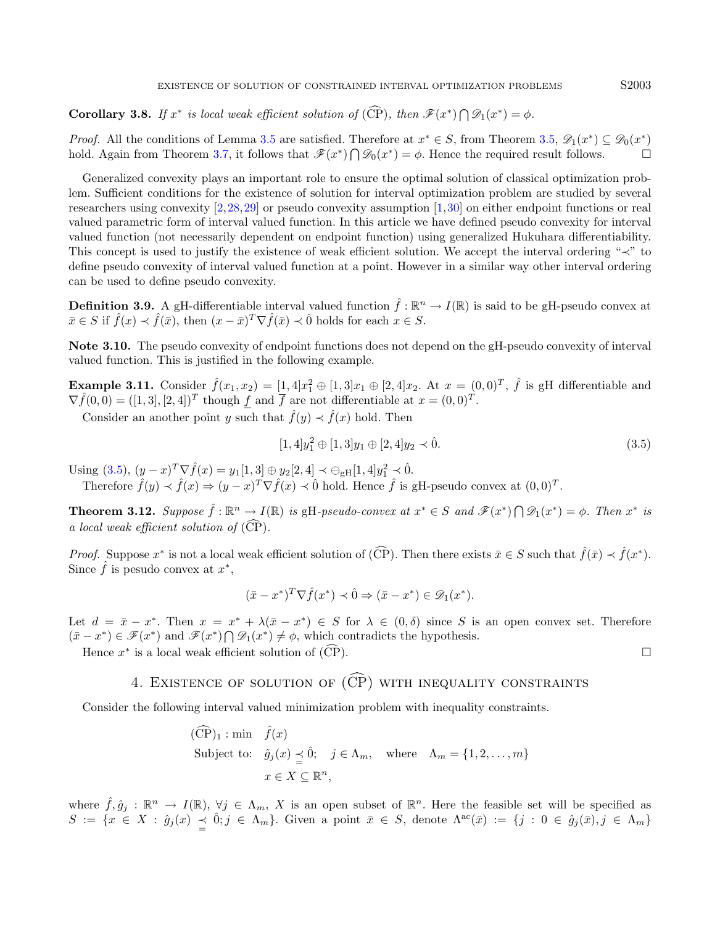**Corollary 3.8.** If  $x^*$  is local weak efficient solution of (CP), then  $\mathscr{F}(x^*) \cap \mathscr{D}_1(x^*) = \phi$ .

*Proof.* All the conditions of Lemma [3.5](#page-5-5) are satisfied. Therefore at  $x^* \in S$ , from Theorem [3.5,](#page-5-5)  $\mathscr{D}_1(x^*) \subseteq \mathscr{D}_0(x^*)$ hold. Again from Theorem [3.7,](#page-5-6) it follows that  $\mathscr{F}(x^*)\bigcap \mathscr{D}_0(x^*)=\phi$ . Hence the required result follows.

Generalized convexity plays an important role to ensure the optimal solution of classical optimization problem. Sufficient conditions for the existence of solution for interval optimization problem are studied by several researchers using convexity [\[2,](#page-13-16)[28,](#page-14-1)[29\]](#page-14-2) or pseudo convexity assumption [\[1,](#page-13-17)[30\]](#page-14-8) on either endpoint functions or real valued parametric form of interval valued function. In this article we have defined pseudo convexity for interval valued function (not necessarily dependent on endpoint function) using generalized Hukuhara differentiability. This concept is used to justify the existence of weak efficient solution. We accept the interval ordering "≺" to define pseudo convexity of interval valued function at a point. However in a similar way other interval ordering can be used to define pseudo convexity.

**Definition 3.9.** A gH-differentiable interval valued function  $\hat{f} : \mathbb{R}^n \to I(\mathbb{R})$  is said to be gH-pseudo convex at  $\bar{x} \in S$  if  $\hat{f}(x) \prec \hat{f}(\bar{x})$ , then  $(x - \bar{x})^T \nabla \hat{f}(\bar{x}) \prec \hat{0}$  holds for each  $x \in S$ .

Note 3.10. The pseudo convexity of endpoint functions does not depend on the gH-pseudo convexity of interval valued function. This is justified in the following example.

<span id="page-6-2"></span>**Example 3.11.** Consider  $\hat{f}(x_1, x_2) = [1, 4]x_1^2 \oplus [1, 3]x_1 \oplus [2, 4]x_2$ . At  $x = (0, 0)^T$ ,  $\hat{f}$  is gH differentiable and  $\nabla \hat{f}(0,0) = ([1,3],[2,4])^T$  though f and  $\overline{f}$  are not differentiable at  $x = (0,0)^T$ .

Consider an another point y such that  $\hat{f}(y) \prec \hat{f}(x)$  hold. Then

<span id="page-6-1"></span>
$$
[1,4]y_1^2 \oplus [1,3]y_1 \oplus [2,4]y_2 \prec \hat{0}.
$$
\n
$$
(3.5)
$$

Using [\(3.5\)](#page-6-1),  $(y-x)^T \nabla \hat{f}(x) = y_1[1,3] \oplus y_2[2,4] \prec \bigoplus_{g} [1,4] y_1^2 \prec \hat{0}.$ 

Therefore  $\hat{f}(y) \prec \hat{f}(x) \Rightarrow (y-x)^T \nabla \hat{f}(x) \prec \hat{0}$  hold. Hence  $\hat{f}$  is gH-pseudo convex at  $(0,0)^T$ .

**Theorem 3.12.** Suppose  $\hat{f} : \mathbb{R}^n \to I(\mathbb{R})$  is gH-pseudo-convex at  $x^* \in S$  and  $\mathscr{F}(x^*) \cap \mathscr{D}_1(x^*) = \phi$ . Then  $x^*$  is a local weak efficient solution of  $(\widehat{CP})$ .

*Proof.* Suppose  $x^*$  is not a local weak efficient solution of  $(\widehat{CP})$ . Then there exists  $\bar{x} \in S$  such that  $\hat{f}(\bar{x}) \prec \hat{f}(x^*)$ . Since  $\hat{f}$  is pesudo convex at  $x^*$ ,

$$
(\bar{x} - x^*)^T \nabla \hat{f}(x^*) \prec \hat{0} \Rightarrow (\bar{x} - x^*) \in \mathscr{D}_1(x^*).
$$

Let  $d = \bar{x} - x^*$ . Then  $x = x^* + \lambda(\bar{x} - x^*) \in S$  for  $\lambda \in (0, \delta)$  since S is an open convex set. Therefore  $(\bar{x} - x^*) \in \mathscr{F}(x^*)$  and  $\mathscr{F}(x^*) \cap \mathscr{D}_1(x^*) \neq \emptyset$ , which contradicts the hypothesis.

<span id="page-6-0"></span>Hence  $x^*$  is a local weak efficient solution of  $(\widehat{CP})$ .

# 4. EXISTENCE OF SOLUTION OF  $(\widehat{CP})$  with inequality constraints

Consider the following interval valued minimization problem with inequality constraints.

 $(\widehat{CP})_1$  : min  $\widehat{f}(x)$ Subject to:  $\hat{g}_j(x) \leq \hat{0}$ ;  $j \in \Lambda_m$ , where  $\Lambda_m = \{1, 2, ..., m\}$  $x \in X \subseteq \mathbb{R}^n$ ,

where  $\hat{f}, \hat{g}_j : \mathbb{R}^n \to I(\mathbb{R}), \forall j \in \Lambda_m, X$  is an open subset of  $\mathbb{R}^n$ . Here the feasible set will be specified as  $S := \{x \in X : \hat{g}_j(x) \leq \hat{0}; j \in \Lambda_m\}.$  Given a point  $\bar{x} \in S$ , denote  $\Lambda^{ac}(\bar{x}) := \{j : 0 \in \hat{g}_j(\bar{x}), j \in \Lambda_m\}.$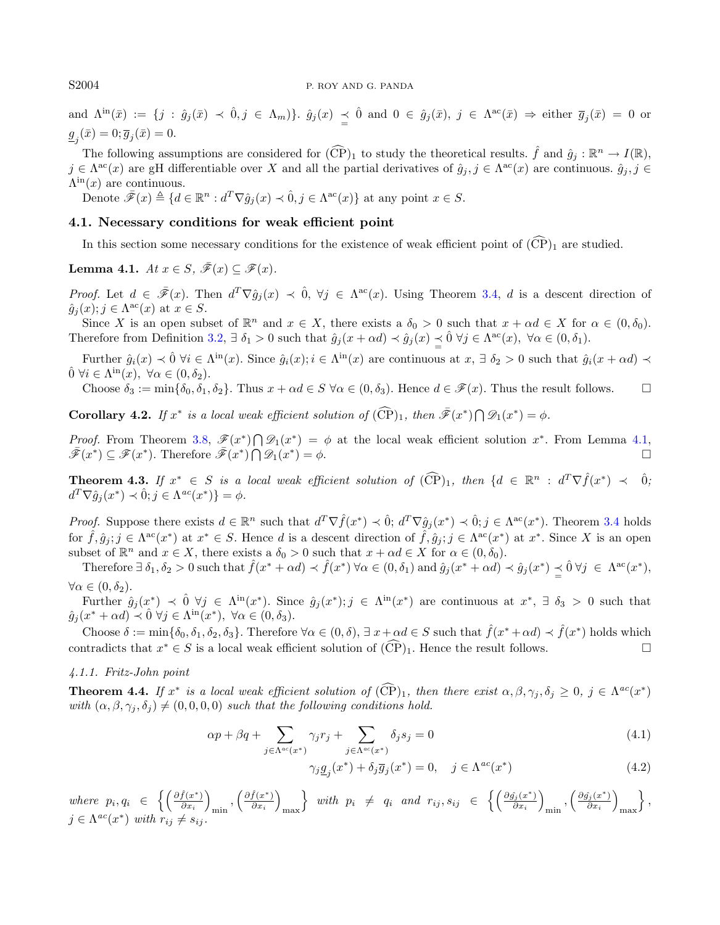### S2004 P. ROY AND G. PANDA

and  $\Lambda^{\text{in}}(\bar{x}) := \{j : \hat{g}_j(\bar{x}) \prec \hat{0}, j \in \Lambda_m\}$ .  $\hat{g}_j(x) \preceq \hat{0}$  and  $0 \in \hat{g}_j(\bar{x}), j \in \Lambda^{\text{ac}}(\bar{x}) \Rightarrow \text{either } \overline{g}_j(\bar{x}) = 0$  or  $\underline{g}_j(\bar{x}) = 0; \overline{g}_j(\bar{x}) = 0.$ 

The following assumptions are considered for  $(\widehat{\mathbb{CP}})_1$  to study the theoretical results.  $\hat{f}$  and  $\hat{g}_j : \mathbb{R}^n \to I(\mathbb{R})$ ,  $j \in \Lambda^{ac}(x)$  are gH differentiable over X and all the partial derivatives of  $\hat{g}_j, j \in \Lambda^{ac}(x)$  are continuous.  $\hat{g}_j, j \in$  $\Lambda^{\text{in}}(x)$  are continuous.

Denote  $\bar{\mathscr{F}}(x) \triangleq \{d \in \mathbb{R}^n : d^T \nabla \hat{g}_j(x) \prec \hat{0}, j \in \Lambda^{\rm ac}(x)\}\$ at any point  $x \in S$ .

## 4.1. Necessary conditions for weak efficient point

In this section some necessary conditions for the existence of weak efficient point of  $(\widehat{CP})_1$  are studied.

<span id="page-7-0"></span>Lemma 4.1. At  $x \in S$ ,  $\overline{\mathscr{F}}(x) \subset \mathscr{F}(x)$ .

*Proof.* Let  $d \in \bar{\mathscr{F}}(x)$ . Then  $d^T \nabla \hat{g}_j(x) \prec \hat{0}$ ,  $\forall j \in \Lambda^{ac}(x)$ . Using Theorem [3.4,](#page-5-2) d is a descent direction of  $\hat{g}_j(x); j \in \Lambda^{ac}(x)$  at  $x \in S$ .

Since X is an open subset of  $\mathbb{R}^n$  and  $x \in X$ , there exists a  $\delta_0 > 0$  such that  $x + \alpha d \in X$  for  $\alpha \in (0, \delta_0)$ . Therefore from Definition [3.2,](#page-4-3)  $\exists \delta_1 > 0$  such that  $\hat{g}_j(x + \alpha d) \prec \hat{g}_j(x) \preceq \hat{0} \ \forall j \in \Lambda^{ac}(x)$ ,  $\forall \alpha \in (0, \delta_1)$ .

Further  $\hat{g}_i(x) \prec \hat{0}$   $\forall i \in \Lambda^{in}(x)$ . Since  $\hat{g}_i(x); i \in \Lambda^{in}(x)$  are continuous at  $x, \exists \delta_2 > 0$  such that  $\hat{g}_i(x + \alpha d) \prec$  $\hat{0} \ \forall i \in \Lambda^{in}(x), \ \forall \alpha \in (0, \delta_2).$ 

Choose  $\delta_3 := \min\{\delta_0, \delta_1, \delta_2\}$ . Thus  $x + \alpha d \in S \ \forall \alpha \in (0, \delta_3)$ . Hence  $d \in \mathscr{F}(x)$ . Thus the result follows.

**Corollary 4.2.** If  $x^*$  is a local weak efficient solution of  $(\widehat{CP})_1$ , then  $\overline{\mathscr{F}}(x^*)\bigcap \mathscr{D}_1(x^*)=\phi$ .

*Proof.* From Theorem [3.8,](#page-5-7)  $\mathscr{F}(x^*)\bigcap \mathscr{D}_1(x^*) = \phi$  at the local weak efficient solution  $x^*$ . From Lemma [4.1,](#page-7-0)  $\bar{\mathscr{F}}(x^*) \subseteq \mathscr{F}(x^*)$ . Therefore  $\bar{\mathscr{F}}(x^*) \cap \mathscr{D}_1(x^*)$  $) = \phi.$ 

<span id="page-7-1"></span>**Theorem 4.3.** If  $x^* \in S$  is a local weak efficient solution of  $(\widehat{CP})_1$ , then  $\{d \in \mathbb{R}^n : d^T \nabla \hat{f}(x^*) \prec \hat{0}, d^T \nabla \hat{f}(x^*) \prec \hat{0}\}$  $d^T \nabla \hat{g}_j(x^*) \prec \hat{0}; j \in \Lambda^{ac}(x^*)$  =  $\phi$ .

*Proof.* Suppose there exists  $d \in \mathbb{R}^n$  such that  $d^T \nabla \hat{f}(x^*) \prec \hat{0}$ ;  $d^T \nabla \hat{g}_j(x^*) \prec \hat{0}$ ;  $j \in \Lambda^{ac}(x^*)$ . Theorem [3.4](#page-5-2) holds for  $\hat{f}, \hat{g}_j$ ;  $j \in \Lambda^{ac}(x^*)$  at  $x^* \in S$ . Hence d is a descent direction of  $\hat{f}, \hat{g}_j$ ;  $j \in \Lambda^{ac}(x^*)$  at  $x^*$ . Since X is an open subset of  $\mathbb{R}^n$  and  $x \in X$ , there exists a  $\delta_0 > 0$  such that  $x + \alpha d \in X$  for  $\alpha \in (0, \delta_0)$ .

Therefore  $\exists \delta_1, \delta_2 > 0$  such that  $\hat{f}(x^* + \alpha d) \prec \hat{f}(x^*) \ \forall \alpha \in (0, \delta_1)$  and  $\hat{g}_j(x^* + \alpha d) \prec \hat{g}_j(x^*) \preceq \hat{0} \ \forall j \in \Lambda^{\rm ac}(x^*),$  $\forall \alpha \in (0, \delta_2).$ 

Further  $\hat{g}_j(x^*) \prec \hat{0} \ \forall j \in \Lambda^{in}(x^*)$ . Since  $\hat{g}_j(x^*)$ ;  $j \in \Lambda^{in}(x^*)$  are continuous at  $x^*, \exists \delta_3 > 0$  such that  $\hat{g}_j(x^* + \alpha d) \prec \hat{0} \ \forall j \in \Lambda^{\text{in}}(x^*), \ \forall \alpha \in (0, \delta_3).$ 

Choose  $\delta := \min\{\delta_0, \delta_1, \delta_2, \delta_3\}$ . Therefore  $\forall \alpha \in (0, \delta), \exists x + \alpha d \in S$  such that  $\hat{f}(x^* + \alpha d) \prec \hat{f}(x^*)$  holds which contradicts that  $x^* \in S$  is a local weak efficient solution of  $(\widehat{CP})_1$ . Hence the result follows.

## 4.1.1. Fritz-John point

<span id="page-7-4"></span>**Theorem 4.4.** If  $x^*$  is a local weak efficient solution of  $(\widehat{CP})_1$ , then there exist  $\alpha, \beta, \gamma_j, \delta_j \ge 0$ ,  $j \in \Lambda^{ac}(x^*)$ with  $(\alpha, \beta, \gamma_i, \delta_i) \neq (0, 0, 0, 0)$  such that the following conditions hold.

$$
\alpha p + \beta q + \sum_{j \in \Lambda^{ac}(x^*)} \gamma_j r_j + \sum_{j \in \Lambda^{ac}(x^*)} \delta_j s_j = 0 \tag{4.1}
$$

<span id="page-7-3"></span><span id="page-7-2"></span>
$$
\gamma_j \underline{g}_j(x^*) + \delta_j \overline{g}_j(x^*) = 0, \quad j \in \Lambda^{ac}(x^*)
$$
\n(4.2)

where  $p_i, q_i \in \left\{ \left( \frac{\partial \hat{f}(x^*)}{\partial x_i} \right) \right\}$  $\frac{\hat{f}(x^*)}{\partial x_i}\bigg)$  $_{\min}$ ,  $\left(\frac{\partial \hat{f}(x^*)}{\partial x_i}\right)$  $\frac{\hat{f}(x^*)}{\partial x_i}\bigg)$ max \ with  $p_i \neq q_i$  and  $r_{ij}, s_{ij} \in \left\{ \left( \frac{\partial \hat{g}_i(x^*)}{\partial x_i} \right)$  $\frac{\hat{\eta}_j(x^*)}{\partial x_i}\bigg)$  $_{\min}$ ,  $\left(\frac{\partial \hat{g_j}(x^*)}{\partial x_i}\right)$  $\frac{\hat{\eta}_j(x^*)}{\partial x_i}\bigg)$ max  $\}$ ,  $j \in \Lambda^{ac}(x^*)$  with  $r_{ij} \neq s_{ij}$ .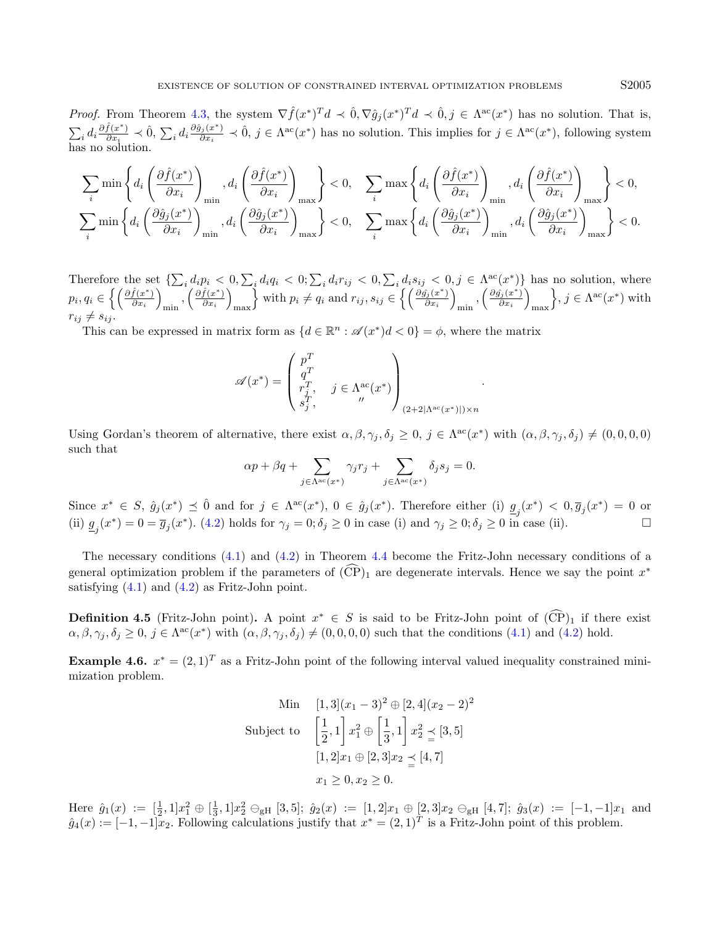*Proof.* From Theorem [4.3,](#page-7-1) the system  $\nabla \hat{f}(x^*)^T d \prec \hat{0}, \nabla \hat{g}_j(x^*)^T d \prec \hat{0}, j \in \Lambda^{ac}(x^*)$  has no solution. That is,  $\sum_i d_i \frac{\partial \hat{f}(x^*)}{\partial x_i}$  $\frac{\hat{f}(x^*)}{\partial x_i} \prec \hat{0}, \sum_i d_i \frac{\partial \hat{g}_j(x^*)}{\partial x_i}$  $\hat{\theta}_{\hat{\theta}_{i}}(x^*) \leq \hat{0}, \, j \in \Lambda^{\text{ac}}(x^*)$  has no solution. This implies for  $j \in \Lambda^{\text{ac}}(x^*)$ , following system has no solution.

$$
\sum_{i} \min \left\{ d_i \left( \frac{\partial \hat{f}(x^*)}{\partial x_i} \right)_{\min}, d_i \left( \frac{\partial \hat{f}(x^*)}{\partial x_i} \right)_{\max} \right\} < 0, \quad \sum_{i} \max \left\{ d_i \left( \frac{\partial \hat{f}(x^*)}{\partial x_i} \right)_{\min}, d_i \left( \frac{\partial \hat{f}(x^*)}{\partial x_i} \right)_{\max} \right\} < 0, \quad \sum_{i} \max \left\{ d_i \left( \frac{\partial \hat{g}_j(x^*)}{\partial x_i} \right)_{\min}, d_i \left( \frac{\partial \hat{g}_j(x^*)}{\partial x_i} \right)_{\max} \right\} < 0.
$$

Therefore the set  $\{\sum_i d_i p_i < 0, \sum_i d_i q_i < 0, \sum_i d_i r_{ij} < 0, \sum_i d_i s_{ij} < 0, j \in \Lambda^{\text{ac}}(x^*)\}$  has no solution, where  $p_i, q_i \in \left\{ \left( \frac{\partial \hat{f}(x^*)}{\partial x_i} \right)$  $\frac{\hat{f}(x^*)}{\partial x_i}\bigg)$  $_{\min}$ ,  $\left(\frac{\partial \hat{f}(x^*)}{\partial x_i}\right)$  $\frac{\hat{f}(x^*)}{\partial x_i}\bigg)$ max with  $p_i \neq q_i$  and  $r_{ij}, s_{ij} \in \left\{ \left( \frac{\partial \hat{g}_j(x^*)}{\partial x_i} \right)$  $\frac{\hat{\eta}_j(x^*)}{\partial x_i}\bigg)$  $_{\min}$ ,  $\left(\frac{\partial \hat{g_{j}}(x^*)}{\partial x_i}\right)$  $\frac{\hat{\eta}_j(x^*)}{\partial x_i}\bigg)$ max  $\big\}, j \in \Lambda^{ac}(x^*)$  with  $r_{ij} \neq s_{ij}$ .

This can be expressed in matrix form as  $\{d \in \mathbb{R}^n : \mathscr{A}(x^*)d < 0\} = \phi$ , where the matrix

$$
\mathscr{A}(x^*) = \begin{pmatrix} p^T \\ q^T \\ r_j^T, & j \in \Lambda^\text{ac}_x(x^*) \\ s_j^T, & \end{pmatrix}_{(2+2|\Lambda^\text{ac}(x^*)|)\times n}.
$$

Using Gordan's theorem of alternative, there exist  $\alpha, \beta, \gamma_j, \delta_j \geq 0$ ,  $j \in \Lambda^{ac}(x^*)$  with  $(\alpha, \beta, \gamma_j, \delta_j) \neq (0, 0, 0, 0)$ such that

$$
\alpha p + \beta q + \sum_{j \in \Lambda^{ac}(x^*)} \gamma_j r_j + \sum_{j \in \Lambda^{ac}(x^*)} \delta_j s_j = 0.
$$

Since  $x^* \in S$ ,  $\hat{g}_j(x^*) \preceq \hat{0}$  and for  $j \in \Lambda^{ac}(x^*)$ ,  $0 \in \hat{g}_j(x^*)$ . Therefore either (i)  $\underline{g}_j(x^*) < 0$ ,  $\overline{g}_j(x^*) = 0$  or (ii)  $g_j(x^*) = 0 = \overline{g}_j(x^*)$ . [\(4.2\)](#page-7-2) holds for  $\gamma_j = 0; \delta_j \ge 0$  in case (i) and  $\gamma_j \ge 0; \delta_j \ge 0$  in case (ii).

The necessary conditions [\(4.1\)](#page-7-3) and [\(4.2\)](#page-7-2) in Theorem [4.4](#page-7-4) become the Fritz-John necessary conditions of a general optimization problem if the parameters of  $(\widehat{CP})_1$  are degenerate intervals. Hence we say the point  $x^*$ satisfying  $(4.1)$  and  $(4.2)$  as Fritz-John point.

**Definition 4.5** (Fritz-John point). A point  $x^* \in S$  is said to be Fritz-John point of  $(\widehat{CP})_1$  if there exist  $\alpha, \beta, \gamma_j, \delta_j \geq 0$ ,  $j \in \Lambda^{ac}(x^*)$  with  $(\alpha, \beta, \gamma_j, \delta_j) \neq (0, 0, 0, 0)$  such that the conditions  $(4.1)$  and  $(4.2)$  hold.

<span id="page-8-0"></span>**Example 4.6.**  $x^* = (2, 1)^T$  as a Fritz-John point of the following interval valued inequality constrained minimization problem.

Min 
$$
[1, 3](x_1 - 3)^2 \oplus [2, 4](x_2 - 2)^2
$$
  
Subject to  $\left[\frac{1}{2}, 1\right] x_1^2 \oplus \left[\frac{1}{3}, 1\right] x_2^2 \leq [3, 5]$   
 $[1, 2]x_1 \oplus [2, 3]x_2 \leq [4, 7]$   
 $x_1 \geq 0, x_2 \geq 0.$ 

Here  $\hat{g}_1(x) := \left[\frac{1}{2}, 1\right]x_1^2 \oplus \left[\frac{1}{3}, 1\right]x_2^2 \ominus_{\text{gH}} [3, 5]; \ \hat{g}_2(x) := \left[1, 2\right]x_1 \oplus [2, 3]x_2 \ominus_{\text{gH}} [4, 7]; \ \hat{g}_3(x) := \left[-1, -1\right]x_1$  and  $\hat{g}_4(x) := [-1, -1]\overline{x}_2$ . Following calculations justify that  $x^* = (2, 1)^T$  is a Fritz-John point of this problem.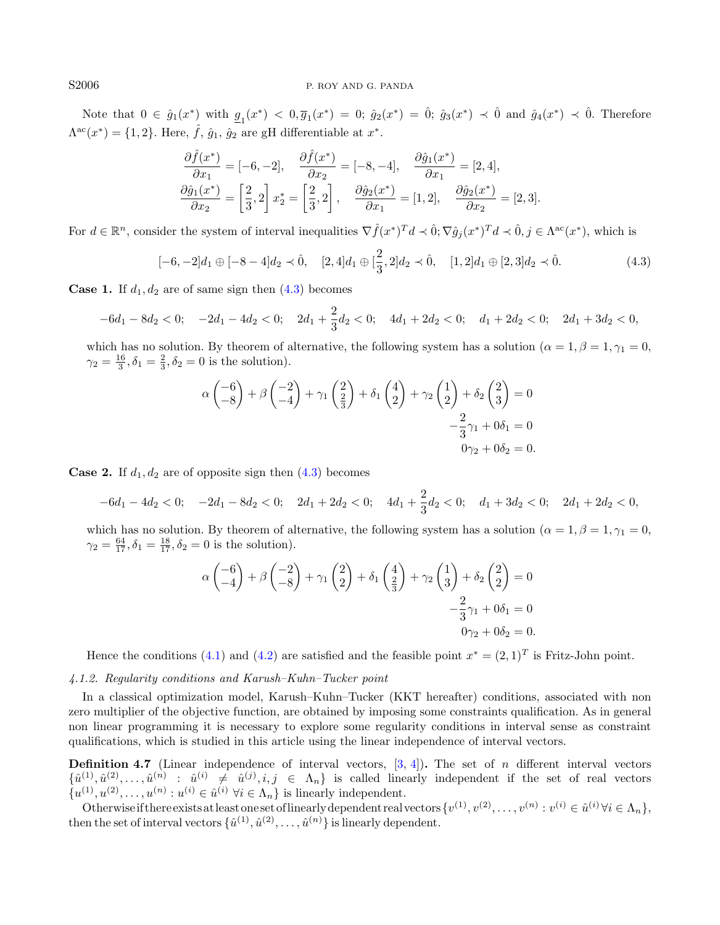Note that  $0 \in \hat{g}_1(x^*)$  with  $g_1(x^*) < 0, \overline{g}_1(x^*) = 0$ ;  $\hat{g}_2(x^*) = 0$ ;  $\hat{g}_3(x^*) < 0$  and  $\hat{g}_4(x^*) < 0$ . Therefore  $\Lambda^{ac}(x^*) = \{1, 2\}$ . Here,  $\hat{f}$ ,  $\hat{g}_1$ ,  $\hat{g}_2$  are gH differentiable at  $x^*$ .

<span id="page-9-0"></span>
$$
\frac{\partial \hat{f}(x^*)}{\partial x_1} = [-6, -2], \quad \frac{\partial \hat{f}(x^*)}{\partial x_2} = [-8, -4], \quad \frac{\partial \hat{g}_1(x^*)}{\partial x_1} = [2, 4],
$$

$$
\frac{\partial \hat{g}_1(x^*)}{\partial x_2} = \left[\frac{2}{3}, 2\right] x_2^* = \left[\frac{2}{3}, 2\right], \quad \frac{\partial \hat{g}_2(x^*)}{\partial x_1} = [1, 2], \quad \frac{\partial \hat{g}_2(x^*)}{\partial x_2} = [2, 3].
$$

For  $d \in \mathbb{R}^n$ , consider the system of interval inequalities  $\nabla \hat{f}(x^*)^T d \prec \hat{0}$ ,  $\nabla \hat{g}_j(x^*)^T d \prec \hat{0}$ ,  $j \in \Lambda^{ac}(x^*)$ , which is

$$
[-6, -2]d_1 \oplus [-8 - 4]d_2 \prec \hat{0}, \quad [2, 4]d_1 \oplus [\frac{2}{3}, 2]d_2 \prec \hat{0}, \quad [1, 2]d_1 \oplus [2, 3]d_2 \prec \hat{0}.
$$
 (4.3)

**Case 1.** If  $d_1, d_2$  are of same sign then  $(4.3)$  becomes

$$
-6d_1 - 8d_2 < 0; \quad -2d_1 - 4d_2 < 0; \quad 2d_1 + \frac{2}{3}d_2 < 0; \quad 4d_1 + 2d_2 < 0; \quad d_1 + 2d_2 < 0; \quad 2d_1 + 3d_2 < 0,
$$

which has no solution. By theorem of alternative, the following system has a solution ( $\alpha = 1, \beta = 1, \gamma_1 = 0$ ,  $\gamma_2 = \frac{16}{3}, \delta_1 = \frac{2}{3}, \delta_2 = 0$  is the solution).

$$
\alpha \begin{pmatrix} -6 \\ -8 \end{pmatrix} + \beta \begin{pmatrix} -2 \\ -4 \end{pmatrix} + \gamma_1 \begin{pmatrix} 2 \\ \frac{2}{3} \end{pmatrix} + \delta_1 \begin{pmatrix} 4 \\ 2 \end{pmatrix} + \gamma_2 \begin{pmatrix} 1 \\ 2 \end{pmatrix} + \delta_2 \begin{pmatrix} 2 \\ 3 \end{pmatrix} = 0
$$
  

$$
-\frac{2}{3}\gamma_1 + 0\delta_1 = 0
$$
  

$$
0\gamma_2 + 0\delta_2 = 0.
$$

**Case 2.** If  $d_1, d_2$  are of opposite sign then  $(4.3)$  becomes

$$
-6d_1 - 4d_2 < 0; \quad -2d_1 - 8d_2 < 0; \quad 2d_1 + 2d_2 < 0; \quad 4d_1 + \frac{2}{3}d_2 < 0; \quad d_1 + 3d_2 < 0; \quad 2d_1 + 2d_2 < 0,
$$

which has no solution. By theorem of alternative, the following system has a solution ( $\alpha = 1, \beta = 1, \gamma_1 = 0$ ,  $\gamma_2 = \frac{64}{17}, \delta_1 = \frac{18}{17}, \delta_2 = 0$  is the solution).

$$
\alpha \begin{pmatrix} -6 \\ -4 \end{pmatrix} + \beta \begin{pmatrix} -2 \\ -8 \end{pmatrix} + \gamma_1 \begin{pmatrix} 2 \\ 2 \end{pmatrix} + \delta_1 \begin{pmatrix} 4 \\ \frac{2}{3} \end{pmatrix} + \gamma_2 \begin{pmatrix} 1 \\ 3 \end{pmatrix} + \delta_2 \begin{pmatrix} 2 \\ 2 \end{pmatrix} = 0
$$
  

$$
-\frac{2}{3}\gamma_1 + 0\delta_1 = 0
$$
  

$$
0\gamma_2 + 0\delta_2 = 0.
$$

Hence the conditions [\(4.1\)](#page-7-3) and [\(4.2\)](#page-7-2) are satisfied and the feasible point  $x^* = (2, 1)^T$  is Fritz-John point.

#### 4.1.2. Regularity conditions and Karush–Kuhn–Tucker point

In a classical optimization model, Karush–Kuhn–Tucker (KKT hereafter) conditions, associated with non zero multiplier of the objective function, are obtained by imposing some constraints qualification. As in general non linear programming it is necessary to explore some regularity conditions in interval sense as constraint qualifications, which is studied in this article using the linear independence of interval vectors.

<span id="page-9-1"></span>**Definition 4.7** (Linear independence of interval vectors,  $[3, 4]$  $[3, 4]$  $[3, 4]$ ). The set of *n* different interval vectors  $\{\hat{u}^{(1)}, \hat{u}^{(2)}, \ldots, \hat{u}^{(n)} : \hat{u}^{(i)} \neq \hat{u}^{(j)}, i, j \in \Lambda_n\}$  is called linearly independent if the set of real vectors  $\{u^{(1)}, u^{(2)}, \ldots, u^{(n)} : u^{(i)} \in \hat{u}^{(i)} \; \forall i \in \Lambda_n\}$  is linearly independent.

Otherwise if there exists at least one set of linearly dependent real vectors  $\{v^{(1)}, v^{(2)}, \ldots, v^{(n)} : v^{(i)} \in \hat{u}^{(i)} \forall i \in \Lambda_n\}$ then the set of interval vectors  $\{\hat{u}^{(1)}, \hat{u}^{(2)}, \ldots, \hat{u}^{(n)}\}$  is linearly dependent.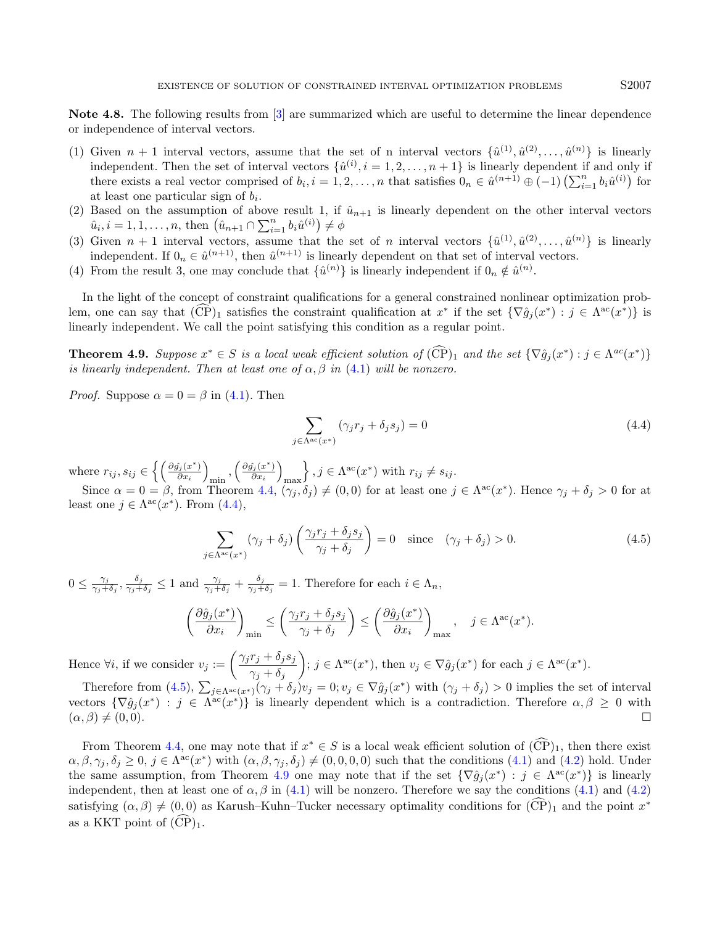<span id="page-10-3"></span>Note 4.8. The following results from [\[3\]](#page-13-18) are summarized which are useful to determine the linear dependence or independence of interval vectors.

- (1) Given  $n+1$  interval vectors, assume that the set of n interval vectors  $\{\hat{u}^{(1)}, \hat{u}^{(2)}, \ldots, \hat{u}^{(n)}\}$  is linearly independent. Then the set of interval vectors  $\{\hat{u}^{(i)}, i = 1, 2, \ldots, n+1\}$  is linearly dependent if and only if there exists a real vector comprised of  $b_i$ ,  $i = 1, 2, ..., n$  that satisfies  $0_n \in \hat{u}^{(n+1)} \oplus (-1) \left(\sum_{i=1}^n b_i \hat{u}^{(i)}\right)$  for at least one particular sign of  $b_i$ .
- (2) Based on the assumption of above result 1, if  $\hat{u}_{n+1}$  is linearly dependent on the other interval vectors  $\hat{u}_i, i = 1, 1, \dots, n$ , then  $(\hat{u}_{n+1} \cap \sum_{i=1}^n b_i \hat{u}^{(i)}) \neq \phi$
- (3) Given  $n+1$  interval vectors, assume that the set of n interval vectors  $\{\hat{u}^{(1)}, \hat{u}^{(2)}, \ldots, \hat{u}^{(n)}\}$  is linearly independent. If  $0_n \in \hat{u}^{(n+1)}$ , then  $\hat{u}^{(n+1)}$  is linearly dependent on that set of interval vectors.
- (4) From the result 3, one may conclude that  $\{\hat{u}^{(n)}\}$  is linearly independent if  $0_n \notin \hat{u}^{(n)}$ .

In the light of the concept of constraint qualifications for a general constrained nonlinear optimization problem, one can say that  $(\widehat{CP})_1$  satisfies the constraint qualification at  $x^*$  if the set  $\{\nabla \hat{g}_j(x^*) : j \in \Lambda^{ac}(x^*)\}$  is linearly independent. We call the point satisfying this condition as a regular point.

<span id="page-10-2"></span>**Theorem 4.9.** Suppose  $x^* \in S$  is a local weak efficient solution of  $(\widehat{CP})_1$  and the set  $\{\nabla \hat{g}_j(x^*) : j \in \Lambda^{ac}(x^*)\}$ is linearly independent. Then at least one of  $\alpha$ ,  $\beta$  in [\(4.1\)](#page-7-3) will be nonzero.

*Proof.* Suppose  $\alpha = 0 = \beta$  in [\(4.1\)](#page-7-3). Then

<span id="page-10-1"></span><span id="page-10-0"></span>
$$
\sum_{j \in \Lambda^{ac}(x^*)} (\gamma_j r_j + \delta_j s_j) = 0 \tag{4.4}
$$

where  $r_{ij}, s_{ij} \in \left\{ \left( \frac{\partial \hat{g}_j(x^*)}{\partial x_i} \right)$  $\frac{\hat{\eta}_j(x^*)}{\partial x_i}\bigg)$  $_{\text{min}}$ ,  $\left(\frac{\partial \hat{g_{j}}(x^{\ast})}{\partial x_{i}}\right)$  $\frac{\hat{\eta}_j(x^*)}{\partial x_i}\bigg)$ max  $\big\}$ ,  $j \in \Lambda^{ac}(x^*)$  with  $r_{ij} \neq s_{ij}$ .

Since  $\alpha = 0 = \beta$ , from Theorem [4.4,](#page-7-4)  $(\gamma_j, \delta_j) \neq (0, 0)$  for at least one  $j \in \Lambda^{ac}(x^*)$ . Hence  $\gamma_j + \delta_j > 0$  for at least one  $j \in \Lambda^{ac}(x^*)$ . From  $(4.4)$ ,

$$
\sum_{j \in \Lambda^{ac}(x^*)} (\gamma_j + \delta_j) \left( \frac{\gamma_j r_j + \delta_j s_j}{\gamma_j + \delta_j} \right) = 0 \quad \text{since} \quad (\gamma_j + \delta_j) > 0. \tag{4.5}
$$

 $0 \leq \frac{\gamma_j}{\gamma_i+1}$  $\frac{\gamma_j}{\gamma_j+\delta_j}, \frac{\delta_j}{\gamma_j+1}$  $\frac{\delta_j}{\gamma_j+\delta_j}\leq 1$  and  $\frac{\gamma_j}{\gamma_j+\delta_j}+\frac{\delta_j}{\gamma_j+1}$  $\frac{\sigma_j}{\gamma_j+\delta_j}=1.$  Therefore for each  $i \in \Lambda_n$ ,

$$
\left(\frac{\partial \hat{g}_j(x^*)}{\partial x_i}\right)_{\min} \le \left(\frac{\gamma_j r_j + \delta_j s_j}{\gamma_j + \delta_j}\right) \le \left(\frac{\partial \hat{g}_j(x^*)}{\partial x_i}\right)_{\max}, \quad j \in \Lambda^{\text{ac}}(x^*).
$$

Hence  $\forall i$ , if we consider  $v_j := \left( \frac{\gamma_j r_j + \delta_j s_j}{\gamma_{j+1} + \delta_j s_j} \right)$  $\gamma_j + \delta_j$  $\Big); j \in \Lambda^{ac}(x^*)$ , then  $v_j \in \nabla \hat{g}_j(x^*)$  for each  $j \in \Lambda^{ac}(x^*)$ .

Therefore from [\(4.5\)](#page-10-1),  $\sum_{j \in \Lambda^{ac}(x^*)} (\gamma_j + \delta_j) v_j = 0; v_j \in \nabla \hat{g}_j(x^*)$  with  $(\gamma_j + \delta_j) > 0$  implies the set of interval vectors  $\{\nabla \hat{g}_j(x^*) : j \in \Lambda^{ac}(x^*)\}$  is linearly dependent which is a contradiction. Therefore  $\alpha, \beta \geq 0$  with  $(\alpha, \beta) \neq (0, 0).$ 

From Theorem [4.4,](#page-7-4) one may note that if  $x^* \in S$  is a local weak efficient solution of  $(\widehat{CP})_1$ , then there exist  $\alpha, \beta, \gamma_j, \delta_j \geq 0$ ,  $j \in \Lambda^{ac}(x^*)$  with  $(\alpha, \beta, \gamma_j, \delta_j) \neq (0, 0, 0, 0)$  such that the conditions [\(4.1\)](#page-7-3) and [\(4.2\)](#page-7-2) hold. Under the same assumption, from Theorem [4.9](#page-10-2) one may note that if the set  $\{\nabla \hat{g}_j(x^*) : j \in \Lambda^{ac}(x^*)\}$  is linearly independent, then at least one of  $\alpha$ ,  $\beta$  in [\(4.1\)](#page-7-3) will be nonzero. Therefore we say the conditions (4.1) and [\(4.2\)](#page-7-2) satisfying  $(\alpha, \beta) \neq (0, 0)$  as Karush–Kuhn–Tucker necessary optimality conditions for  $(\widehat{CP})_1$  and the point  $x^*$ as a KKT point of  $(\widehat{CP})_1$ .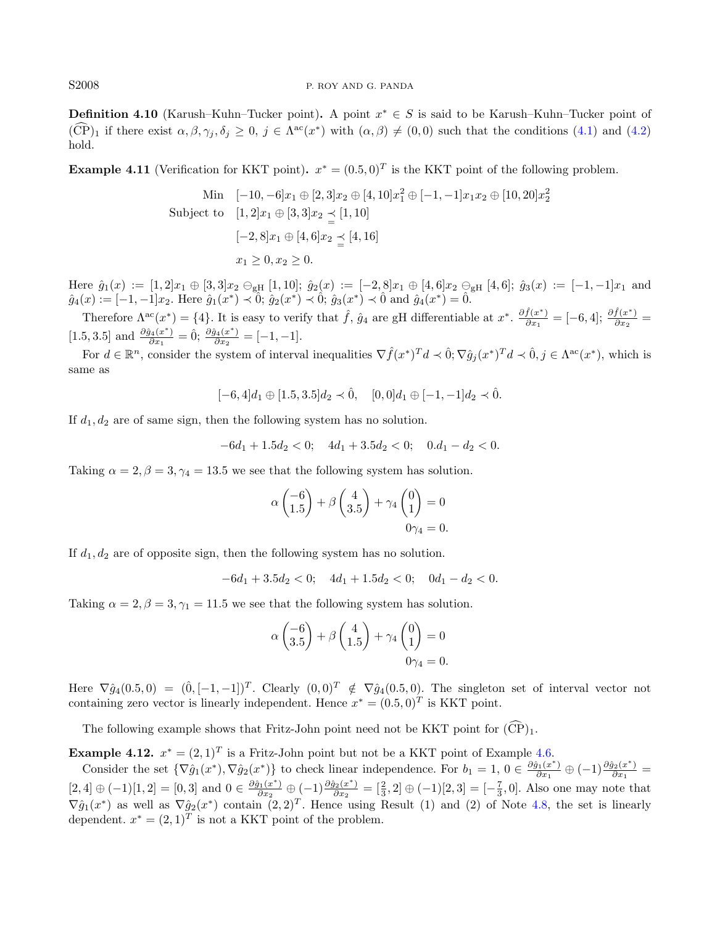#### S2008 P. ROY AND G. PANDA

**Definition 4.10** (Karush–Kuhn–Tucker point). A point  $x^* \in S$  is said to be Karush–Kuhn–Tucker point of  $(\widehat{CP})_1$  if there exist  $\alpha, \beta, \gamma_j, \delta_j \geq 0, j \in \Lambda^{ac}(x^*)$  with  $(\alpha, \beta) \neq (0, 0)$  such that the conditions [\(4.1\)](#page-7-3) and [\(4.2\)](#page-7-2) hold.

**Example 4.11** (Verification for KKT point).  $x^* = (0.5, 0)^T$  is the KKT point of the following problem.

Min 
$$
[-10, -6]x_1 \oplus [2, 3]x_2 \oplus [4, 10]x_1^2 \oplus [-1, -1]x_1x_2 \oplus [10, 20]x_2^2
$$
  
Subject to  $[1, 2]x_1 \oplus [3, 3]x_2 \preceq [1, 10]$   
 $[-2, 8]x_1 \oplus [4, 6]x_2 \preceq [4, 16]$   
 $x_1 \ge 0, x_2 \ge 0.$ 

Here  $\hat{g}_1(x) := [1, 2]x_1 \oplus [3, 3]x_2 \ominus_{\text{gH}} [1, 10]; \ \hat{g}_2(x) := [-2, 8]x_1 \oplus [4, 6]x_2 \ominus_{\text{gH}} [4, 6]; \ \hat{g}_3(x) := [-1, -1]x_1$  and  $\hat{g}_4(x) := [-1, -1]x_2$ . Here  $\hat{g}_1(x^*) \prec \hat{0}$ ;  $\hat{g}_2(x^*) \prec \hat{0}$ ;  $\hat{g}_3(x^*) \prec \hat{0}$  and  $\hat{g}_4(x^*) = \hat{0}$ .

Therefore  $\Lambda^{ac}(x^*) = \{4\}$ . It is easy to verify that  $\hat{f}$ ,  $\hat{g}_4$  are gH differentiable at  $x^*$ .  $\frac{\partial \hat{f}(x^*)}{\partial x_1}$  $\frac{\hat{f}(x^*)}{\partial x_1} = [-6, 4]; \frac{\partial \hat{f}(x^*)}{\partial x_2}$  $\frac{f(x)}{\partial x_2} =$ [1.5, 3.5] and  $\frac{\partial \hat{g}_4(x^*)}{\partial x_1}$  $\frac{\partial_4(x^*)}{\partial x_1} = \hat{0}; \frac{\partial \hat{g}_4(x^*)}{\partial x_2}$  $\frac{a_4(x)}{a_{x_2}} = [-1, -1].$ 

For  $d \in \mathbb{R}^n$ , consider the system of interval inequalities  $\nabla \hat{f}(x^*)^T d \prec \hat{0}$ ;  $\nabla \hat{g}_j(x^*)^T d \prec \hat{0}$ ,  $j \in \Lambda^{ac}(x^*)$ , which is same as

 $[-6, 4]d_1 \oplus [1.5, 3.5]d_2 \prec \hat{0}$ ,  $[0, 0]d_1 \oplus [-1, -1]d_2 \prec \hat{0}$ .

If  $d_1, d_2$  are of same sign, then the following system has no solution.

$$
-6d_1 + 1.5d_2 < 0; \quad 4d_1 + 3.5d_2 < 0; \quad 0.d_1 - d_2 < 0.
$$

Taking  $\alpha = 2, \beta = 3, \gamma_4 = 13.5$  we see that the following system has solution.

$$
\alpha \begin{pmatrix} -6 \\ 1.5 \end{pmatrix} + \beta \begin{pmatrix} 4 \\ 3.5 \end{pmatrix} + \gamma_4 \begin{pmatrix} 0 \\ 1 \end{pmatrix} = 0
$$
  

$$
0\gamma_4 = 0.
$$

If  $d_1, d_2$  are of opposite sign, then the following system has no solution.

 $-6d_1 + 3.5d_2 < 0$ ;  $4d_1 + 1.5d_2 < 0$ ;  $0d_1 - d_2 < 0$ .

Taking  $\alpha = 2, \beta = 3, \gamma_1 = 11.5$  we see that the following system has solution.

$$
\alpha \begin{pmatrix} -6 \\ 3.5 \end{pmatrix} + \beta \begin{pmatrix} 4 \\ 1.5 \end{pmatrix} + \gamma_4 \begin{pmatrix} 0 \\ 1 \end{pmatrix} = 0
$$
  

$$
0\gamma_4 = 0.
$$

Here  $\nabla \hat{g}_4(0.5,0) = (\hat{0}, [-1,-1])^T$ . Clearly  $(0,0)^T \notin \nabla \hat{g}_4(0.5,0)$ . The singleton set of interval vector not containing zero vector is linearly independent. Hence  $x^* = (0.5, 0)^T$  is KKT point.

The following example shows that Fritz-John point need not be KKT point for  $(\widehat{CP})_1$ .

**Example 4.12.**  $x^* = (2,1)^T$  is a Fritz-John point but not be a KKT point of Example [4.6.](#page-8-0)

Consider the set  $\{\nabla \hat{g}_1(x^*), \nabla \hat{g}_2(x^*)\}$  to check linear independence. For  $b_1 = 1, 0 \in \frac{\partial \hat{g}_1(x^*)}{\partial x_1}$  $\frac{\hat{g}_1(x^*)}{\partial x_1}\oplus(-1)\frac{\partial \hat{g}_2(x^*)}{\partial x_1}$  $\frac{g_2(x)}{\partial x_1} =$  $[2, 4] \oplus (-1)[1, 2] = [0, 3]$  and  $0 \in \frac{\partial \hat{g}_1(x^*)}{\partial x_0}$  $\frac{\hat{g}_1(x^*)}{\partial x_2} \oplus (-1) \frac{\partial \hat{g}_2(x^*)}{\partial x_2}$  $\frac{\partial^2 z(x^*)}{\partial x^2} = \left[\frac{2}{3}, 2\right] \oplus (-1)\left[2, 3\right] = \left[-\frac{7}{3}, 0\right]$ . Also one may note that  $\nabla \hat{g}_1(x^*)$  as well as  $\nabla \hat{g}_2(x^*)$  contain  $(2,2)^T$ . Hence using Result (1) and (2) of Note [4.8,](#page-10-3) the set is linearly dependent.  $x^* = (2, 1)^T$  is not a KKT point of the problem.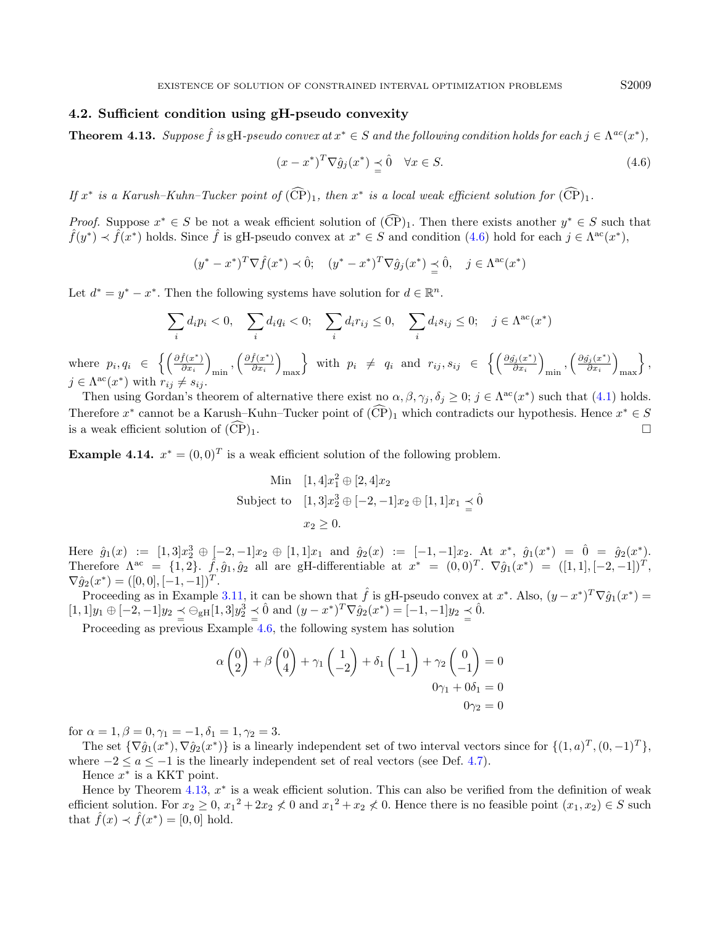# 4.2. Sufficient condition using gH-pseudo convexity

<span id="page-12-1"></span>**Theorem 4.13.** Suppose  $\hat{f}$  is  $gH$ -pseudo convex at  $x^* \in S$  and the following condition holds for each  $j \in \Lambda^{ac}(x^*)$ ,

$$
(x - x^*)^T \nabla \hat{g}_j(x^*) \leq \hat{0} \quad \forall x \in S. \tag{4.6}
$$

If  $x^*$  is a Karush–Kuhn–Tucker point of  $(\widehat{CP})_1$ , then  $x^*$  is a local weak efficient solution for  $(\widehat{CP})_1$ .

*Proof.* Suppose  $x^* \in S$  be not a weak efficient solution of  $(\widehat{CP})_1$ . Then there exists another  $y^* \in S$  such that  $\hat{f}(y^*) \prec \hat{f}(x^*)$  holds. Since  $\hat{f}$  is gH-pseudo convex at  $x^* \in S$  and condition  $(4.6)$  hold for each  $j \in \Lambda^{ac}(x^*)$ ,

$$
(y^* - x^*)^T \nabla \hat{f}(x^*) \prec \hat{0}; \quad (y^* - x^*)^T \nabla \hat{g}_j(x^*) \preceq \hat{0}, \quad j \in \Lambda^{ac}(x^*)
$$

Let  $d^* = y^* - x^*$ . Then the following systems have solution for  $d \in \mathbb{R}^n$ .

$$
\sum_{i} d_i p_i < 0, \quad \sum_{i} d_i q_i < 0; \quad \sum_{i} d_i r_{ij} \le 0, \quad \sum_{i} d_i s_{ij} \le 0; \quad j \in \Lambda^{\text{ac}}(x^*)
$$

where  $p_i, q_i \in \left\{ \left( \frac{\partial \hat{f}(x^*)}{\partial x_i} \right)$  $\frac{\hat{f}(x^*)}{\partial x_i}\bigg)$  $_{\text{min}}$ ,  $\left(\frac{\partial \hat{f}(x^*)}{\partial x_i}\right)$  $\frac{\hat{f}(x^*)}{\partial x_i}\bigg)$ max with  $p_i \neq q_i$  and  $r_{ij}, s_{ij} \in \left\{ \left( \frac{\partial \hat{g}_i(x^*)}{\partial x_i} \right)$  $\frac{\hat{\eta}_j(x^*)}{\partial x_i}\bigg)$  $_{\min}$ ,  $\left(\frac{\partial \hat{g_{j}}(x^*)}{\partial x_i}\right)$  $\frac{\hat{\eta}_j(x^*)}{\partial x_i}\bigg)$ max  $\}$ ,  $j \in \Lambda^{ac}(x^*)$  with  $r_{ij} \neq s_{ij}$ .

Then using Gordan's theorem of alternative there exist no  $\alpha, \beta, \gamma_j, \delta_j \geq 0$ ;  $j \in \Lambda^{ac}(x^*)$  such that [\(4.1\)](#page-7-3) holds. Therefore  $x^*$  cannot be a Karush–Kuhn–Tucker point of  $(\widehat{CP})_1$  which contradicts our hypothesis. Hence  $x^* \in S$ is a weak efficient solution of  $(\widehat{\text{CP}})_1$ .

**Example 4.14.**  $x^* = (0,0)^T$  is a weak efficient solution of the following problem.

Min 
$$
[1, 4]x_1^2 \oplus [2, 4]x_2
$$
  
Subject to  $[1, 3]x_2^3 \oplus [-2, -1]x_2 \oplus [1, 1]x_1 \preceq 0$   
 $x_2 \ge 0$ .

Here  $\hat{g}_1(x) := [1,3]x_2^3 \oplus [-2,-1]x_2 \oplus [1,1]x_1$  and  $\hat{g}_2(x) := [-1,-1]x_2$ . At  $x^*, \hat{g}_1(x^*) = 0 = \hat{g}_2(x^*)$ . Therefore  $\Lambda^{ac} = \{1, 2\}$ .  $\hat{f}, \hat{g}_1, \hat{g}_2$  all are gH-differentiable at  $x^* = (0, 0)^T$ .  $\nabla \hat{g}_1(x^*) = ([1, 1], [-2, -1])^T$ .  $\nabla \hat{g}_2(x^*) = ([0,0], [-1,-1])^T.$ 

Proceeding as in Example [3.11,](#page-6-2) it can be shown that  $\hat{f}$  is gH-pseudo convex at  $x^*$ . Also,  $(y-x^*)^T \nabla \hat{g}_1(x^*) =$  $[1,1]y_1 \oplus [-2,-1]y_2 \leq \bigcirc_{gH} [1,3]y_2^3 \leq \hat{0}$  and  $(y-x^*)^T \nabla \hat{g}_2(x^*) = [-1,-1]y_2 \leq \hat{0}$ .

Proceeding as previous Example [4.6,](#page-8-0) the following system has solution

$$
\alpha \begin{pmatrix} 0 \\ 2 \end{pmatrix} + \beta \begin{pmatrix} 0 \\ 4 \end{pmatrix} + \gamma_1 \begin{pmatrix} 1 \\ -2 \end{pmatrix} + \delta_1 \begin{pmatrix} 1 \\ -1 \end{pmatrix} + \gamma_2 \begin{pmatrix} 0 \\ -1 \end{pmatrix} = 0
$$
  

$$
0\gamma_1 + 0\delta_1 = 0
$$
  

$$
0\gamma_2 = 0
$$

for  $\alpha = 1, \beta = 0, \gamma_1 = -1, \delta_1 = 1, \gamma_2 = 3.$ 

The set  $\{\nabla \hat{g}_1(x^*), \nabla \hat{g}_2(x^*)\}$  is a linearly independent set of two interval vectors since for  $\{(1, a)^T, (0, -1)^T\}$ , where  $-2 \le a \le -1$  is the linearly independent set of real vectors (see Def. [4.7\)](#page-9-1).

Hence  $x^*$  is a KKT point.

Hence by Theorem  $4.13, x^*$  $4.13, x^*$  is a weak efficient solution. This can also be verified from the definition of weak efficient solution. For  $x_2 \geq 0$ ,  $x_1^2 + 2x_2 \neq 0$  and  $x_1^2 + x_2 \neq 0$ . Hence there is no feasible point  $(x_1, x_2) \in S$  such that  $\hat{f}(x) \prec \hat{f}(x^*) = [0,0]$  hold.

<span id="page-12-0"></span>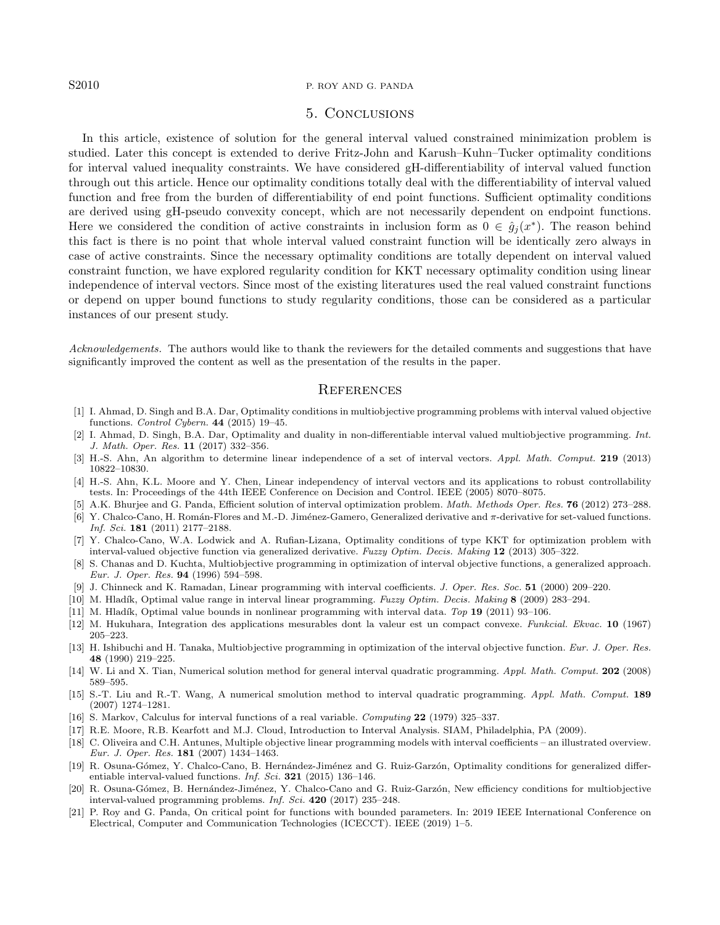#### S2010 P. ROY AND G. PANDA

# 5. Conclusions

<span id="page-13-17"></span>In this article, existence of solution for the general interval valued constrained minimization problem is studied. Later this concept is extended to derive Fritz-John and Karush–Kuhn–Tucker optimality conditions for interval valued inequality constraints. We have considered gH-differentiability of interval valued function through out this article. Hence our optimality conditions totally deal with the differentiability of interval valued function and free from the burden of differentiability of end point functions. Sufficient optimality conditions are derived using gH-pseudo convexity concept, which are not necessarily dependent on endpoint functions. Here we considered the condition of active constraints in inclusion form as  $0 \in \hat{g}_j(x^*)$ . The reason behind this fact is there is no point that whole interval valued constraint function will be identically zero always in case of active constraints. Since the necessary optimality conditions are totally dependent on interval valued constraint function, we have explored regularity condition for KKT necessary optimality condition using linear independence of interval vectors. Since most of the existing literatures used the real valued constraint functions or depend on upper bound functions to study regularity conditions, those can be considered as a particular instances of our present study.

<span id="page-13-19"></span><span id="page-13-18"></span><span id="page-13-16"></span><span id="page-13-14"></span><span id="page-13-9"></span><span id="page-13-8"></span>Acknowledgements. The authors would like to thank the reviewers for the detailed comments and suggestions that have significantly improved the content as well as the presentation of the results in the paper.

#### **REFERENCES**

- <span id="page-13-0"></span>[1] I. Ahmad, D. Singh and B.A. Dar, Optimality conditions in multiobjective programming problems with interval valued objective functions. Control Cybern. 44 (2015) 19–45.
- <span id="page-13-4"></span><span id="page-13-1"></span>[2] I. Ahmad, D. Singh, B.A. Dar, Optimality and duality in non-differentiable interval valued multiobjective programming. Int. J. Math. Oper. Res. 11 (2017) 332–356.
- <span id="page-13-12"></span>[3] H.-S. Ahn, An algorithm to determine linear independence of a set of interval vectors. Appl. Math. Comput. 219 (2013) 10822–10830.
- <span id="page-13-2"></span>[4] H.-S. Ahn, K.L. Moore and Y. Chen, Linear independency of interval vectors and its applications to robust controllability tests. In: Proceedings of the 44th IEEE Conference on Decision and Control. IEEE (2005) 8070–8075.
- <span id="page-13-5"></span>A.K. Bhurjee and G. Panda, Efficient solution of interval optimization problem. Math. Methods Oper. Res. 76 (2012) 273–288.
- <span id="page-13-6"></span>[6] Y. Chalco-Cano, H. Román-Flores and M.-D. Jiménez-Gamero, Generalized derivative and  $\pi$ -derivative for set-valued functions. Inf. Sci. 181 (2011) 2177–2188.
- <span id="page-13-15"></span>[7] Y. Chalco-Cano, W.A. Lodwick and A. Rufian-Lizana, Optimality conditions of type KKT for optimization problem with interval-valued objective function via generalized derivative. Fuzzy Optim. Decis. Making 12 (2013) 305–322.
- <span id="page-13-13"></span><span id="page-13-3"></span>[8] S. Chanas and D. Kuchta, Multiobjective programming in optimization of interval objective functions, a generalized approach. Eur. J. Oper. Res. 94 (1996) 594–598.
- [9] J. Chinneck and K. Ramadan, Linear programming with interval coefficients. J. Oper. Res. Soc. 51 (2000) 209–220.
- <span id="page-13-10"></span>[10] M. Hladík, Optimal value range in interval linear programming. Fuzzy Optim. Decis. Making 8 (2009) 283-294.
- <span id="page-13-11"></span>[11] M. Hladík, Optimal value bounds in nonlinear programming with interval data. Top 19 (2011) 93-106.
- [12] M. Hukuhara, Integration des applications mesurables dont la valeur est un compact convexe. Funkcial. Ekvac. 10 (1967) 205–223.
- <span id="page-13-7"></span>[13] H. Ishibuchi and H. Tanaka, Multiobjective programming in optimization of the interval objective function. Eur. J. Oper. Res. 48 (1990) 219–225.
- [14] W. Li and X. Tian, Numerical solution method for general interval quadratic programming. Appl. Math. Comput. 202 (2008) 589–595.
- [15] S.-T. Liu and R.-T. Wang, A numerical smolution method to interval quadratic programming. Appl. Math. Comput. 189 (2007) 1274–1281.
- [16] S. Markov, Calculus for interval functions of a real variable. Computing 22 (1979) 325–337.
- [17] R.E. Moore, R.B. Kearfott and M.J. Cloud, Introduction to Interval Analysis. SIAM, Philadelphia, PA (2009).
- [18] C. Oliveira and C.H. Antunes, Multiple objective linear programming models with interval coefficients an illustrated overview. Eur. J. Oper. Res. 181 (2007) 1434–1463.
- [19] R. Osuna-Gómez, Y. Chalco-Cano, B. Hernández-Jiménez and G. Ruiz-Garzón, Optimality conditions for generalized differentiable interval-valued functions. Inf. Sci. 321 (2015) 136–146.
- [20] R. Osuna-Gómez, B. Hernández-Jiménez, Y. Chalco-Cano and G. Ruiz-Garzón, New efficiency conditions for multiobjective interval-valued programming problems. Inf. Sci. 420 (2017) 235–248.
- [21] P. Roy and G. Panda, On critical point for functions with bounded parameters. In: 2019 IEEE International Conference on Electrical, Computer and Communication Technologies (ICECCT). IEEE (2019) 1–5.